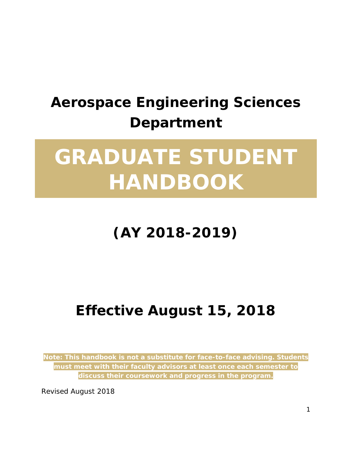## **Aerospace Engineering Sciences Department**

# **GRADUATE STUDENT HANDBOOK**

## **(AY 2018-2019)**

## **Effective August 15, 2018**

*Note: This handbook is not a substitute for face-to-face advising. Students must meet with their faculty advisors at least once each semester to discuss their coursework and progress in the program.*

Revised August 2018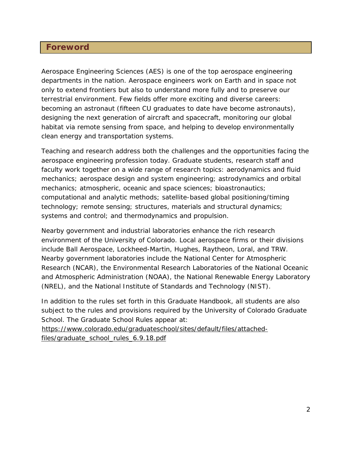#### <span id="page-1-0"></span>**Foreword**

Aerospace Engineering Sciences (AES) is one of the top aerospace engineering departments in the nation. Aerospace engineers work on Earth and in space not only to extend frontiers but also to understand more fully and to preserve our terrestrial environment. Few fields offer more exciting and diverse careers: becoming an astronaut (fifteen CU graduates to date have become astronauts), designing the next generation of aircraft and spacecraft, monitoring our global habitat via remote sensing from space, and helping to develop environmentally clean energy and transportation systems.

Teaching and research address both the challenges and the opportunities facing the aerospace engineering profession today. Graduate students, research staff and faculty work together on a wide range of research topics: aerodynamics and fluid mechanics; aerospace design and system engineering; astrodynamics and orbital mechanics; atmospheric, oceanic and space sciences; bioastronautics; computational and analytic methods; satellite-based global positioning/timing technology; remote sensing; structures, materials and structural dynamics; systems and control; and thermodynamics and propulsion.

Nearby government and industrial laboratories enhance the rich research environment of the University of Colorado. Local aerospace firms or their divisions include Ball Aerospace, Lockheed-Martin, Hughes, Raytheon, Loral, and TRW. Nearby government laboratories include the National Center for Atmospheric Research (NCAR), the Environmental Research Laboratories of the National Oceanic and Atmospheric Administration (NOAA), the National Renewable Energy Laboratory (NREL), and the National Institute of Standards and Technology (NIST).

In addition to the rules set forth in this Graduate Handbook, all students are also subject to the rules and provisions required by the University of Colorado Graduate School. The Graduate School Rules appear at:

[https://www.colorado.edu/graduateschool/sites/default/files/attached](https://www.colorado.edu/graduateschool/sites/default/files/attached-files/graduate_school_rules_6.9.18.pdf)[files/graduate\\_school\\_rules\\_6.9.18.pdf](https://www.colorado.edu/graduateschool/sites/default/files/attached-files/graduate_school_rules_6.9.18.pdf)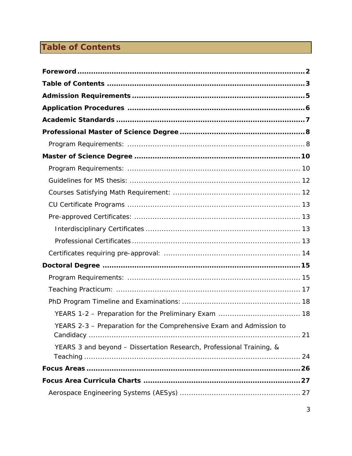## <span id="page-2-0"></span>**Table of Contents**

| YEARS 2-3 - Preparation for the Comprehensive Exam and Admission to  |  |
|----------------------------------------------------------------------|--|
| YEARS 3 and beyond - Dissertation Research, Professional Training, & |  |
|                                                                      |  |
|                                                                      |  |
|                                                                      |  |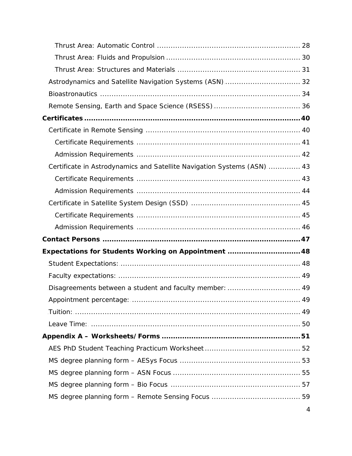| Astrodynamics and Satellite Navigation Systems (ASN) 32                |  |
|------------------------------------------------------------------------|--|
|                                                                        |  |
|                                                                        |  |
|                                                                        |  |
|                                                                        |  |
|                                                                        |  |
|                                                                        |  |
| Certificate in Astrodynamics and Satellite Navigation Systems (ASN) 43 |  |
|                                                                        |  |
|                                                                        |  |
|                                                                        |  |
|                                                                        |  |
|                                                                        |  |
|                                                                        |  |
|                                                                        |  |
| Expectations for Students Working on Appointment 48                    |  |
|                                                                        |  |
|                                                                        |  |
| Disagreements between a student and faculty member:  49                |  |
|                                                                        |  |
|                                                                        |  |
|                                                                        |  |
|                                                                        |  |
|                                                                        |  |
|                                                                        |  |
|                                                                        |  |
|                                                                        |  |
|                                                                        |  |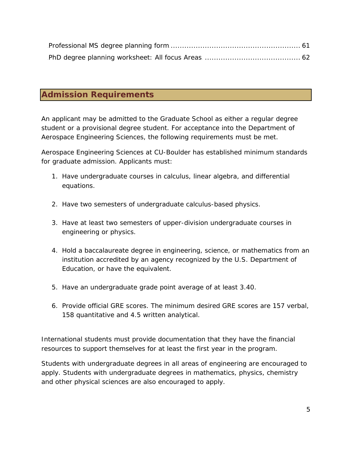## <span id="page-4-0"></span>**Admission Requirements**

An applicant may be admitted to the Graduate School as either a regular degree student or a provisional degree student. For acceptance into the Department of Aerospace Engineering Sciences, the following requirements must be met.

Aerospace Engineering Sciences at CU-Boulder has established minimum standards for graduate admission. Applicants must:

- 1. Have undergraduate courses in calculus, linear algebra, and differential equations.
- 2. Have two semesters of undergraduate calculus-based physics.
- 3. Have at least two semesters of upper-division undergraduate courses in engineering or physics.
- 4. Hold a baccalaureate degree in engineering, science, or mathematics from an institution accredited by an agency recognized by the U.S. Department of Education, or have the equivalent.
- 5. Have an undergraduate grade point average of at least 3.40.
- 6. Provide official GRE scores. The minimum desired GRE scores are 157 verbal, 158 quantitative and 4.5 written analytical.

International students must provide documentation that they have the financial resources to support themselves for at least the first year in the program.

Students with undergraduate degrees in all areas of engineering are encouraged to apply. Students with undergraduate degrees in mathematics, physics, chemistry and other physical sciences are also encouraged to apply.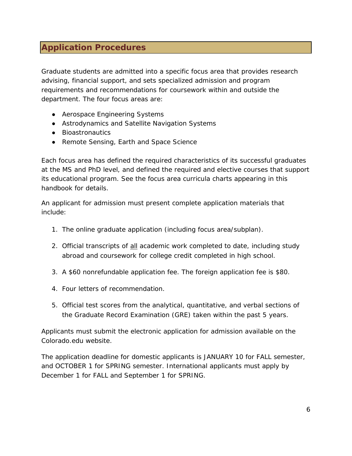## <span id="page-5-0"></span>**Application Procedures**

Graduate students are admitted into a specific focus area that provides research advising, financial support, and sets specialized admission and program requirements and recommendations for coursework within and outside the department. The four focus areas are:

- Aerospace Engineering Systems
- Astrodynamics and Satellite Navigation Systems
- Bioastronautics
- Remote Sensing, Earth and Space Science

Each focus area has defined the required characteristics of its successful graduates at the MS and PhD level, and defined the required and elective courses that support its educational program. See the focus area curricula charts appearing in this handbook for details.

An applicant for admission must present complete application materials that include:

- 1. The online graduate application (including focus area/subplan).
- 2. Official transcripts of **all** academic work completed to date, including study abroad and coursework for college credit completed in high school.
- 3. A \$60 nonrefundable application fee. The foreign application fee is \$80.
- 4. Four letters of recommendation.
- 5. Official test scores from the analytical, quantitative, and verbal sections of the Graduate Record Examination (GRE) taken within the past 5 years.

Applicants must submit the electronic application for admission available on the Colorado.edu website.

The application deadline for domestic applicants is JANUARY 10 for FALL semester, and OCTOBER 1 for SPRING semester. International applicants must apply by December 1 for FALL and September 1 for SPRING.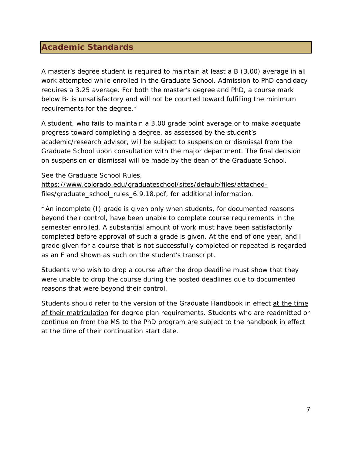## <span id="page-6-0"></span>**Academic Standards**

A master's degree student is required to maintain at least a B (3.00) average in all work attempted while enrolled in the Graduate School. Admission to PhD candidacy requires a 3.25 average. For both the master's degree and PhD, a course mark below B- is unsatisfactory and will not be counted toward fulfilling the minimum requirements for the degree.\*

A student, who fails to maintain a 3.00 grade point average or to make adequate progress toward completing a degree, as assessed by the student's academic/research advisor, will be subject to suspension or dismissal from the Graduate School upon consultation with the major department. The final decision on suspension or dismissal will be made by the dean of the Graduate School.

See the Graduate School Rules, [https://www.colorado.edu/graduateschool/sites/default/files/attached](https://www.colorado.edu/graduateschool/sites/default/files/attached-files/graduate_school_rules_6.9.18.pdf)[files/graduate\\_school\\_rules\\_6.9.18.pdf,](https://www.colorado.edu/graduateschool/sites/default/files/attached-files/graduate_school_rules_6.9.18.pdf) for additional information.

\*An incomplete (I) grade is given only when students, for documented reasons beyond their control, have been unable to complete course requirements in the semester enrolled. A substantial amount of work must have been satisfactorily completed before approval of such a grade is given. At the end of one year, and I grade given for a course that is not successfully completed or repeated is regarded as an F and shown as such on the student's transcript.

Students who wish to drop a course after the drop deadline must show that they were unable to drop the course during the posted deadlines due to documented reasons that were beyond their control.

Students should refer to the version of the Graduate Handbook in effect at the time of their matriculation for degree plan requirements. Students who are readmitted or continue on from the MS to the PhD program are subject to the handbook in effect at the time of their continuation start date.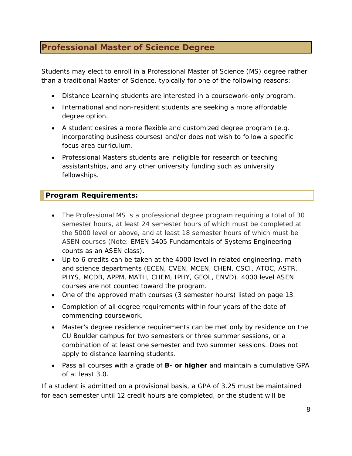## <span id="page-7-0"></span>**Professional Master of Science Degree**

Students may elect to enroll in a Professional Master of Science (MS) degree rather than a traditional Master of Science, typically for one of the following reasons:

- Distance Learning students are interested in a coursework-only program.
- International and non-resident students are seeking a more affordable degree option.
- A student desires a more flexible and customized degree program (e.g. incorporating business courses) and/or does not wish to follow a specific focus area curriculum.
- Professional Masters students are ineligible for research or teaching assistantships, and any other university funding such as university fellowships.

#### <span id="page-7-1"></span>**Program Requirements:**

- The Professional MS is a professional degree program requiring a total of 30 semester hours, at least 24 semester hours of which must be completed at the 5000 level or above, and at least 18 semester hours of which must be ASEN courses (Note: EMEN 5405 Fundamentals of Systems Engineering counts as an ASEN class).
- Up to 6 credits can be taken at the 4000 level in related engineering, math and science departments (ECEN, CVEN, MCEN, CHEN, CSCI, ATOC, ASTR, PHYS, MCDB, APPM, MATH, CHEM, IPHY, GEOL, ENVD). 4000 level ASEN courses are not counted toward the program.
- One of the approved math courses (3 semester hours) listed on page 13.
- Completion of all degree requirements within four years of the date of commencing coursework.
- Master's degree residence requirements can be met only by residence on the CU Boulder campus for two semesters or three summer sessions, or a combination of at least one semester and two summer sessions. Does not apply to distance learning students.
- Pass all courses with a grade of **B- or higher** and maintain a cumulative GPA of at least 3.0.

If a student is admitted on a provisional basis, a GPA of 3.25 must be maintained for each semester until 12 credit hours are completed, or the student will be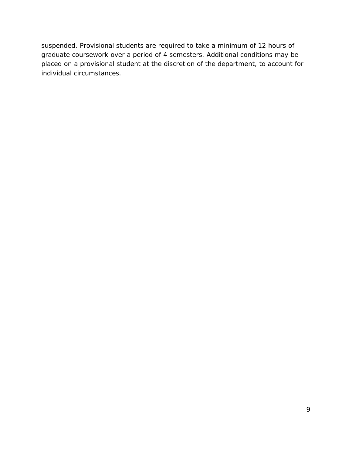suspended. Provisional students are required to take a minimum of 12 hours of graduate coursework over a period of 4 semesters. Additional conditions may be placed on a provisional student at the discretion of the department, to account for individual circumstances.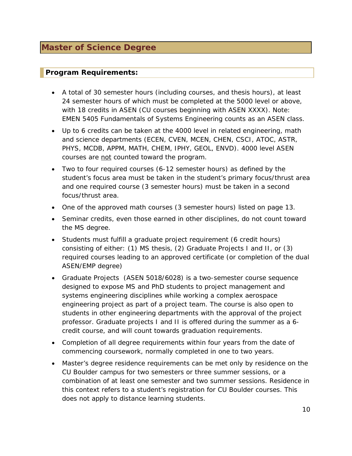#### <span id="page-9-1"></span><span id="page-9-0"></span>**Program Requirements:**

- A total of 30 semester hours (including courses, and thesis hours), at least 24 semester hours of which must be completed at the 5000 level or above, with 18 credits in ASEN (CU courses beginning with ASEN XXXX). Note: EMEN 5405 Fundamentals of Systems Engineering counts as an ASEN class.
- Up to 6 credits can be taken at the 4000 level in related engineering, math and science departments (ECEN, CVEN, MCEN, CHEN, CSCI, ATOC, ASTR, PHYS, MCDB, APPM, MATH, CHEM, IPHY, GEOL, ENVD). 4000 level ASEN courses are not counted toward the program.
- Two to four required courses (6-12 semester hours) as defined by the student's focus area must be taken in the student's primary focus/thrust area and one required course (3 semester hours) must be taken in a second focus/thrust area.
- One of the approved math courses (3 semester hours) listed on page 13.
- Seminar credits, even those earned in other disciplines, do not count toward the MS degree.
- Students must fulfill a graduate project requirement (6 credit hours) consisting of either: (1) MS thesis, (2) Graduate Projects I and II, or (3) required courses leading to an approved certificate (or completion of the dual ASEN/EMP degree)
- Graduate Projects (ASEN 5018/6028) is a two-semester course sequence designed to expose MS and PhD students to project management and systems engineering disciplines while working a complex aerospace engineering project as part of a project team. The course is also open to students in other engineering departments with the approval of the project professor. Graduate projects I and II is offered during the summer as a 6 credit course, and will count towards graduation requirements.
- Completion of all degree requirements within four years from the date of commencing coursework, normally completed in one to two years.
- Master's degree residence requirements can be met only by residence on the CU Boulder campus for two semesters or three summer sessions, or a combination of at least one semester and two summer sessions. Residence in this context refers to a student's registration for CU Boulder courses. This does not apply to distance learning students.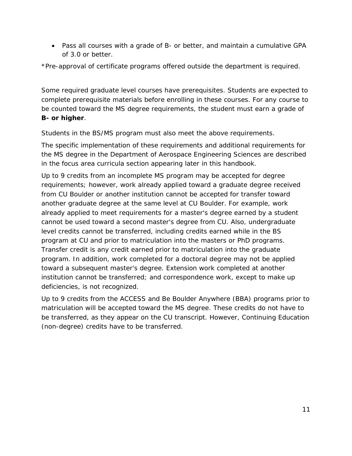• Pass all courses with a grade of B- or better, and maintain a cumulative GPA of 3.0 or better.

\*Pre-approval of certificate programs offered outside the department is required.

Some required graduate level courses have prerequisites. Students are expected to complete prerequisite materials before enrolling in these courses. For any course to be counted toward the MS degree requirements, the student must earn a grade of **B- or higher**.

Students in the BS/MS program must also meet the above requirements.

The specific implementation of these requirements and additional requirements for the MS degree in the Department of Aerospace Engineering Sciences are described in the focus area curricula section appearing later in this handbook.

Up to 9 credits from an incomplete MS program may be accepted for degree requirements; however, work already applied toward a graduate degree received from CU Boulder or another institution cannot be accepted for transfer toward another graduate degree at the same level at CU Boulder. For example, work already applied to meet requirements for a master's degree earned by a student cannot be used toward a second master's degree from CU. Also, undergraduate level credits cannot be transferred, including credits earned while in the BS program at CU and prior to matriculation into the masters or PhD programs. Transfer credit is any credit earned prior to matriculation into the graduate program. In addition, work completed for a doctoral degree may not be applied toward a subsequent master's degree. Extension work completed at another institution cannot be transferred; and correspondence work, except to make up deficiencies, is not recognized.

Up to 9 credits from the ACCESS and Be Boulder Anywhere (BBA) programs prior to matriculation will be accepted toward the MS degree. These credits do not have to be transferred, as they appear on the CU transcript. However, Continuing Education (non-degree) credits have to be transferred.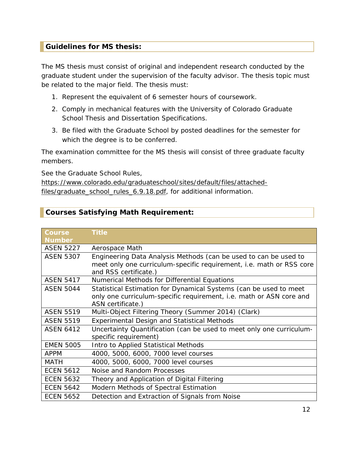#### <span id="page-11-0"></span>**Guidelines for MS thesis:**

The MS thesis must consist of original and independent research conducted by the graduate student under the supervision of the faculty advisor. The thesis topic must be related to the major field. The thesis must:

- 1. Represent the equivalent of 6 semester hours of coursework.
- 2. Comply in mechanical features with the University of Colorado Graduate School Thesis and Dissertation Specifications.
- 3. Be filed with the Graduate School by posted deadlines for the semester for which the degree is to be conferred.

The examination committee for the MS thesis will consist of three graduate faculty members.

See the Graduate School Rules,

[https://www.colorado.edu/graduateschool/sites/default/files/attached](https://www.colorado.edu/graduateschool/sites/default/files/attached-files/graduate_school_rules_6.9.18.pdf)[files/graduate\\_school\\_rules\\_6.9.18.pdf,](https://www.colorado.edu/graduateschool/sites/default/files/attached-files/graduate_school_rules_6.9.18.pdf) for additional information.

#### <span id="page-11-1"></span>**Courses Satisfying Math Requirement:**

| <b>Course</b>    | <b>Title</b>                                                         |
|------------------|----------------------------------------------------------------------|
| <b>Number</b>    |                                                                      |
| <b>ASEN 5227</b> | Aerospace Math                                                       |
| <b>ASEN 5307</b> | Engineering Data Analysis Methods (can be used to can be used to     |
|                  | meet only one curriculum-specific requirement, i.e. math or RSS core |
|                  | and RSS certificate.)                                                |
| <b>ASEN 5417</b> | Numerical Methods for Differential Equations                         |
| <b>ASEN 5044</b> | Statistical Estimation for Dynamical Systems (can be used to meet    |
|                  | only one curriculum-specific requirement, i.e. math or ASN core and  |
|                  | ASN certificate.)                                                    |
| <b>ASEN 5519</b> | Multi-Object Filtering Theory (Summer 2014) (Clark)                  |
| <b>ASEN 5519</b> | <b>Experimental Design and Statistical Methods</b>                   |
| <b>ASEN 6412</b> | Uncertainty Quantification (can be used to meet only one curriculum- |
|                  | specific requirement)                                                |
| <b>EMEN 5005</b> | Intro to Applied Statistical Methods                                 |
| <b>APPM</b>      | 4000, 5000, 6000, 7000 level courses                                 |
| <b>MATH</b>      | 4000, 5000, 6000, 7000 level courses                                 |
| <b>ECEN 5612</b> | Noise and Random Processes                                           |
| <b>ECEN 5632</b> | Theory and Application of Digital Filtering                          |
| <b>ECEN 5642</b> | Modern Methods of Spectral Estimation                                |
| <b>ECEN 5652</b> | Detection and Extraction of Signals from Noise                       |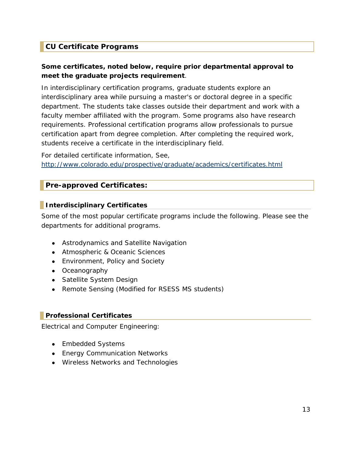### <span id="page-12-0"></span>**CU Certificate Programs**

#### **Some certificates, noted below, require prior departmental approval to meet the graduate projects requirement**.

In interdisciplinary certification programs, graduate students explore an interdisciplinary area while pursuing a master's or doctoral degree in a specific department. The students take classes outside their department and work with a faculty member affiliated with the program. Some programs also have research requirements. Professional certification programs allow professionals to pursue certification apart from degree completion. After completing the required work, students receive a certificate in the interdisciplinary field.

For detailed certificate information, See, <http://www.colorado.edu/prospective/graduate/academics/certificates.html>

#### <span id="page-12-1"></span>**Pre-approved Certificates:**

#### <span id="page-12-2"></span>**Interdisciplinary Certificates**

Some of the most popular certificate programs include the following. Please see the departments for additional programs.

- Astrodynamics and Satellite Navigation
- Atmospheric & Oceanic Sciences
- Environment, Policy and Society
- Oceanography
- Satellite System Design
- Remote Sensing (Modified for RSESS MS students)

#### <span id="page-12-3"></span>**Professional Certificates**

Electrical and Computer Engineering:

- Embedded Systems
- [Energy](http://ece.colorado.edu/%7Epwrelect/book/CEdCourses.html) Communication Networks
- [Wireless](http://ece.colorado.edu/%7Eswengctf/) Networks and Technologies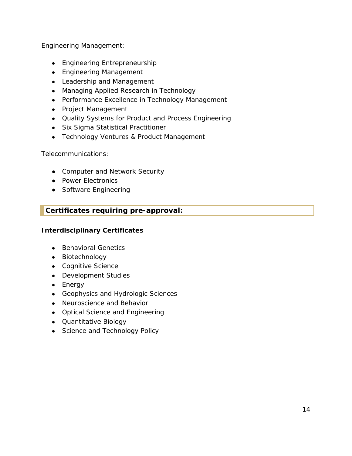Engineering Management:

- Engineering Entrepreneurship
- Engineering Management
- Leadership and Management
- Managing Applied Research in Technology
- Performance Excellence in Technology Management
- Project Management
- Quality Systems for Product and Process Engineering
- Six Sigma Statistical Practitioner
- Technology Ventures & Product Management

Telecommunications:

- Computer and Network Security
- Power Electronics
- Software Engineering

## <span id="page-13-0"></span>**Certificates requiring pre-approval:**

#### **Interdisciplinary Certificates**

- Behavioral Genetics
- Biotechnology
- Cognitive Science
- Development Studies
- Energy
- Geophysics and Hydrologic Sciences
- Neuroscience and Behavior
- Optical Science and Engineering
- Quantitative Biology
- Science and Technology Policy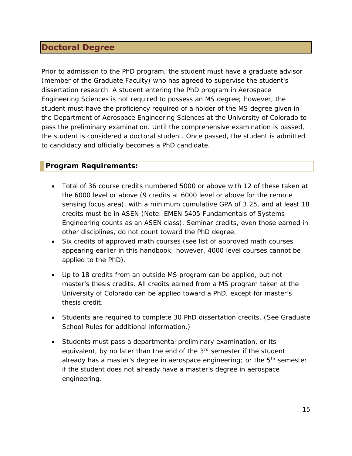## <span id="page-14-0"></span>**Doctoral Degree**

Prior to admission to the PhD program, the student must have a graduate advisor (member of the Graduate Faculty) who has agreed to supervise the student's dissertation research. A student entering the PhD program in Aerospace Engineering Sciences is not required to possess an MS degree; however, the student must have the proficiency required of a holder of the MS degree given in the Department of Aerospace Engineering Sciences at the University of Colorado to pass the preliminary examination. Until the comprehensive examination is passed, the student is considered a doctoral student. Once passed, the student is admitted to candidacy and officially becomes a PhD candidate.

#### <span id="page-14-1"></span>**Program Requirements:**

- Total of 36 course credits numbered 5000 or above with 12 of these taken at the 6000 level or above (9 credits at 6000 level or above for the remote sensing focus area), with a minimum cumulative GPA of 3.25, and at least 18 credits must be in ASEN (Note: EMEN 5405 Fundamentals of Systems Engineering counts as an ASEN class). Seminar credits, even those earned in other disciplines, do not count toward the PhD degree.
- Six credits of approved math courses (see list of approved math courses appearing earlier in this handbook; however, 4000 level courses cannot be applied to the PhD).
- Up to 18 credits from an outside MS program can be applied, but not master's thesis credits. All credits earned from a MS program taken at the University of Colorado can be applied toward a PhD, except for master's thesis credit.
- Students are required to complete 30 PhD dissertation credits. (See Graduate School Rules for additional information.)
- Students must pass a departmental preliminary examination, or its equivalent, by no later than the end of the 3<sup>rd</sup> semester if the student already has a master's degree in aerospace engineering; or the 5<sup>th</sup> semester if the student does not already have a master's degree in aerospace engineering.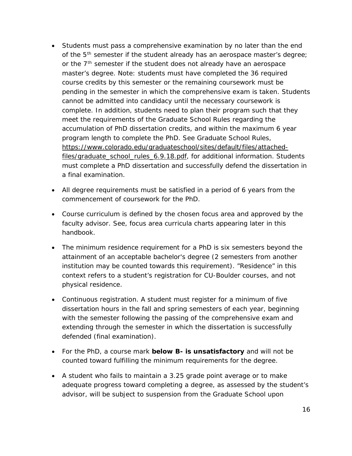- Students must pass a comprehensive examination by no later than the end of the 5<sup>th</sup> semester if the student already has an aerospace master's degree; or the  $7<sup>th</sup>$  semester if the student does not already have an aerospace master's degree. Note: students must have completed the 36 required course credits by this semester or the remaining coursework must be pending in the semester in which the comprehensive exam is taken. Students cannot be admitted into candidacy until the necessary coursework is complete. In addition, students need to plan their program such that they meet the requirements of the Graduate School Rules regarding the accumulation of PhD dissertation credits, and within the maximum 6 year program length to complete the PhD. See Graduate School Rules, [https://www.colorado.edu/graduateschool/sites/default/files/attached](https://www.colorado.edu/graduateschool/sites/default/files/attached-files/graduate_school_rules_6.9.18.pdf)[files/graduate\\_school\\_rules\\_6.9.18.pdf,](https://www.colorado.edu/graduateschool/sites/default/files/attached-files/graduate_school_rules_6.9.18.pdf) for additional information. Students must complete a PhD dissertation and successfully defend the dissertation in a final examination.
- All degree requirements must be satisfied in a period of 6 years from the commencement of coursework for the PhD.
- Course curriculum is defined by the chosen focus area and approved by the faculty advisor. See, focus area curricula charts appearing later in this handbook.
- The minimum residence requirement for a PhD is six semesters beyond the attainment of an acceptable bachelor's degree (2 semesters from another institution may be counted towards this requirement). "Residence" in this context refers to a student's registration for CU-Boulder courses, and not physical residence.
- Continuous registration. A student must register for a minimum of five dissertation hours in the fall and spring semesters of each year, beginning with the semester following the passing of the comprehensive exam and extending through the semester in which the dissertation is successfully defended (final examination).
- For the PhD, a course mark **below B- is unsatisfactory** and will not be counted toward fulfilling the minimum requirements for the degree.
- A student who fails to maintain a 3.25 grade point average or to make adequate progress toward completing a degree, as assessed by the student's advisor, will be subject to suspension from the Graduate School upon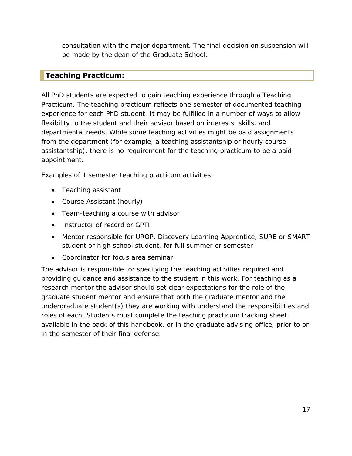consultation with the major department. The final decision on suspension will be made by the dean of the Graduate School.

#### <span id="page-16-0"></span>**Teaching Practicum:**

All PhD students are expected to gain teaching experience through a Teaching Practicum. The teaching practicum reflects one semester of documented teaching experience for each PhD student. It may be fulfilled in a number of ways to allow flexibility to the student and their advisor based on interests, skills, and departmental needs. While some teaching activities might be paid assignments from the department (for example, a teaching assistantship or hourly course assistantship), there is no requirement for the teaching practicum to be a paid appointment.

Examples of 1 semester teaching practicum activities:

- Teaching assistant
- Course Assistant (hourly)
- Team-teaching a course with advisor
- Instructor of record or GPTI
- Mentor responsible for UROP, Discovery Learning Apprentice, SURE or SMART student or high school student, for full summer or semester
- Coordinator for focus area seminar

The advisor is responsible for specifying the teaching activities required and providing guidance and assistance to the student in this work. For teaching as a research mentor the advisor should set clear expectations for the role of the graduate student mentor and ensure that both the graduate mentor and the undergraduate student(s) they are working with understand the responsibilities and roles of each. Students must complete the teaching practicum tracking sheet available in the back of this handbook, or in the graduate advising office, prior to or in the semester of their final defense.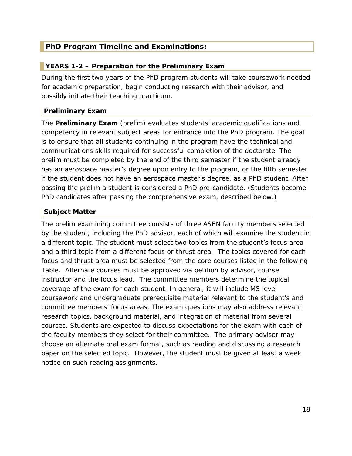#### <span id="page-17-0"></span>**PhD Program Timeline and Examinations:**

#### <span id="page-17-1"></span>**YEARS 1-2 – Preparation for the Preliminary Exam**

During the first two years of the PhD program students will take coursework needed for academic preparation, begin conducting research with their advisor, and possibly initiate their teaching practicum.

#### **Preliminary Exam**

The **Preliminary Exam** (prelim) evaluates students' academic qualifications and competency in relevant subject areas for entrance into the PhD program. The goal is to ensure that all students continuing in the program have the technical and communications skills required for successful completion of the doctorate. The prelim must be completed by the end of the third semester if the student already has an aerospace master's degree upon entry to the program, or the fifth semester if the student does not have an aerospace master's degree, as a PhD student. After passing the prelim a student is considered a PhD pre-candidate. (Students become PhD candidates after passing the comprehensive exam, described below.)

#### **Subject Matter**

The prelim examining committee consists of three ASEN faculty members selected by the student, including the PhD advisor, each of which will examine the student in a different topic. The student must select two topics from the student's focus area and a third topic from a different focus or thrust area. The topics covered for each focus and thrust area must be selected from the core courses listed in the following Table. Alternate courses must be approved via petition by advisor, course instructor and the focus lead. The committee members determine the topical coverage of the exam for each student. In general, it will include MS level coursework and undergraduate prerequisite material relevant to the student's and committee members' focus areas. The exam questions may also address relevant research topics, background material, and integration of material from several courses. Students are expected to discuss expectations for the exam with each of the faculty members they select for their committee. The primary advisor may choose an alternate oral exam format, such as reading and discussing a research paper on the selected topic. However, the student must be given at least a week notice on such reading assignments.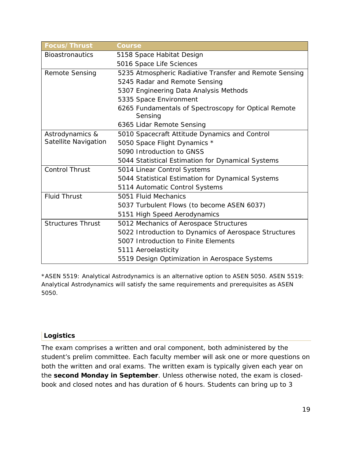| Focus/Thrust             | <b>Course</b>                                                   |
|--------------------------|-----------------------------------------------------------------|
| <b>Bioastronautics</b>   | 5158 Space Habitat Design                                       |
|                          | 5016 Space Life Sciences                                        |
| <b>Remote Sensing</b>    | 5235 Atmospheric Radiative Transfer and Remote Sensing          |
|                          | 5245 Radar and Remote Sensing                                   |
|                          | 5307 Engineering Data Analysis Methods                          |
|                          | 5335 Space Environment                                          |
|                          | 6265 Fundamentals of Spectroscopy for Optical Remote<br>Sensing |
|                          | 6365 Lidar Remote Sensing                                       |
| Astrodynamics &          | 5010 Spacecraft Attitude Dynamics and Control                   |
| Satellite Navigation     | 5050 Space Flight Dynamics *                                    |
|                          | 5090 Introduction to GNSS                                       |
|                          | 5044 Statistical Estimation for Dynamical Systems               |
| <b>Control Thrust</b>    | 5014 Linear Control Systems                                     |
|                          | 5044 Statistical Estimation for Dynamical Systems               |
|                          | 5114 Automatic Control Systems                                  |
| <b>Fluid Thrust</b>      | 5051 Fluid Mechanics                                            |
|                          | 5037 Turbulent Flows (to become ASEN 6037)                      |
|                          | 5151 High Speed Aerodynamics                                    |
| <b>Structures Thrust</b> | 5012 Mechanics of Aerospace Structures                          |
|                          | 5022 Introduction to Dynamics of Aerospace Structures           |
|                          | 5007 Introduction to Finite Elements                            |
|                          | 5111 Aeroelasticity                                             |
|                          | 5519 Design Optimization in Aerospace Systems                   |

\*ASEN 5519: Analytical Astrodynamics is an alternative option to ASEN 5050. ASEN 5519: Analytical Astrodynamics will satisfy the same requirements and prerequisites as ASEN 5050.

#### **Logistics**

The exam comprises a written and oral component, both administered by the student's prelim committee. Each faculty member will ask one or more questions on both the written and oral exams. The written exam is typically given each year on the **second Monday in September**. Unless otherwise noted, the exam is closedbook and closed notes and has duration of 6 hours. Students can bring up to 3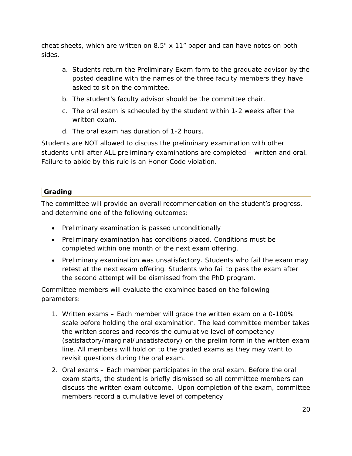cheat sheets, which are written on 8.5" x 11" paper and can have notes on both sides.

- a. Students return the Preliminary Exam form to the graduate advisor by the posted deadline with the names of the three faculty members they have asked to sit on the committee.
- b. The student's faculty advisor should be the committee chair.
- c. The oral exam is scheduled by the student within 1-2 weeks after the written exam.
- d. The oral exam has duration of 1-2 hours.

Students are NOT allowed to discuss the preliminary examination with other students until after ALL preliminary examinations are completed – written and oral. Failure to abide by this rule is an Honor Code violation.

## **Grading**

The committee will provide an overall recommendation on the student's progress, and determine one of the following outcomes:

- Preliminary examination is passed unconditionally
- Preliminary examination has conditions placed. Conditions must be completed within one month of the next exam offering.
- Preliminary examination was unsatisfactory. Students who fail the exam may retest at the next exam offering. Students who fail to pass the exam after the second attempt will be dismissed from the PhD program.

Committee members will evaluate the examinee based on the following parameters:

- 1. Written exams Each member will grade the written exam on a 0-100% scale before holding the oral examination. The lead committee member takes the written scores and records the cumulative level of competency (satisfactory/marginal/unsatisfactory) on the prelim form in the written exam line. All members will hold on to the graded exams as they may want to revisit questions during the oral exam.
- 2. Oral exams Each member participates in the oral exam. Before the oral exam starts, the student is briefly dismissed so all committee members can discuss the written exam outcome. Upon completion of the exam, committee members record a cumulative level of competency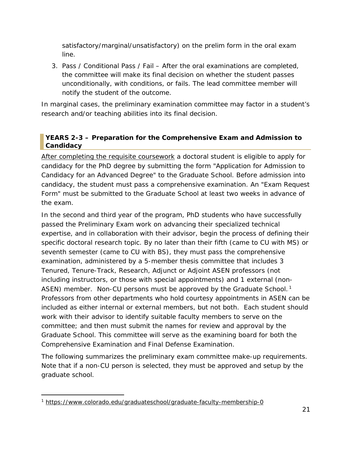satisfactory/marginal/unsatisfactory) on the prelim form in the oral exam line.

3. Pass / Conditional Pass / Fail – After the oral examinations are completed, the committee will make its final decision on whether the student passes unconditionally, with conditions, or fails. The lead committee member will notify the student of the outcome.

In marginal cases, the preliminary examination committee may factor in a student's research and/or teaching abilities into its final decision.

#### <span id="page-20-0"></span>**YEARS 2-3 – Preparation for the Comprehensive Exam and Admission to Candidacy**

After completing the requisite coursework a doctoral student is eligible to apply for candidacy for the PhD degree by submitting the form "Application for Admission to Candidacy for an Advanced Degree" to the Graduate School. Before admission into candidacy, the student must pass a comprehensive examination. An "Exam Request Form" must be submitted to the Graduate School at least two weeks in advance of the exam.

In the second and third year of the program, PhD students who have successfully passed the Preliminary Exam work on advancing their specialized technical expertise, and in collaboration with their advisor, begin the process of defining their specific doctoral research topic. By no later than their fifth (came to CU with MS) or seventh semester (came to CU with BS), they must pass the comprehensive examination, administered by a 5-member thesis committee that includes 3 Tenured, Tenure-Track, Research, Adjunct or Adjoint ASEN professors (not including instructors, or those with special appointments) and 1 external (non-ASEN) member. Non-CU persons must be approved by the Graduate School.<sup>1</sup> Professors from other departments who hold courtesy appointments in ASEN can be included as either internal or external members, but not both. Each student should work with their advisor to identify suitable faculty members to serve on the committee; and then must submit the names for review and approval by the Graduate School. This committee will serve as the examining board for both the Comprehensive Examination and Final Defense Examination.

The following summarizes the preliminary exam committee make-up requirements. Note that if a non-CU person is selected, they must be approved and setup by the graduate school.

1

<sup>&</sup>lt;sup>1</sup> <https://www.colorado.edu/graduateschool/graduate-faculty-membership-0>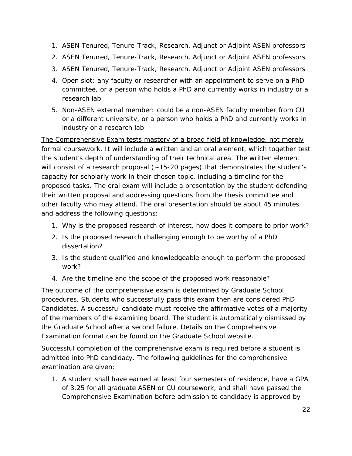- 1. ASEN Tenured, Tenure-Track, Research, Adjunct or Adjoint ASEN professors
- 2. ASEN Tenured, Tenure-Track, Research, Adjunct or Adjoint ASEN professors
- 3. ASEN Tenured, Tenure-Track, Research, Adjunct or Adjoint ASEN professors
- 4. Open slot: any faculty or researcher with an appointment to serve on a PhD committee, or a person who holds a PhD and currently works in industry or a research lab
- 5. Non-ASEN external member: could be a non-ASEN faculty member from CU or a different university, or a person who holds a PhD and currently works in industry or a research lab

The Comprehensive Exam tests mastery of a broad field of knowledge, not merely formal coursework. It will include a written and an oral element, which together test the student's depth of understanding of their technical area. The written element will consist of a research proposal  $(-15-20 \text{ pages})$  that demonstrates the student's capacity for scholarly work in their chosen topic, including a timeline for the proposed tasks. The oral exam will include a presentation by the student defending their written proposal and addressing questions from the thesis committee and other faculty who may attend. The oral presentation should be about 45 minutes and address the following questions:

- 1. Why is the proposed research of interest, how does it compare to prior work?
- 2. Is the proposed research challenging enough to be worthy of a PhD dissertation?
- 3. Is the student qualified and knowledgeable enough to perform the proposed work?
- 4. Are the timeline and the scope of the proposed work reasonable?

The outcome of the comprehensive exam is determined by Graduate School procedures. Students who successfully pass this exam then are considered PhD Candidates. A successful candidate must receive the affirmative votes of a majority of the members of the examining board. The student is automatically dismissed by the Graduate School after a second failure. Details on the Comprehensive Examination format can be found on the Graduate School website.

Successful completion of the comprehensive exam is required before a student is admitted into PhD candidacy. The following guidelines for the comprehensive examination are given:

1. A student shall have earned at least four semesters of residence, have a GPA of 3.25 for all graduate ASEN or CU coursework, and shall have passed the Comprehensive Examination before admission to candidacy is approved by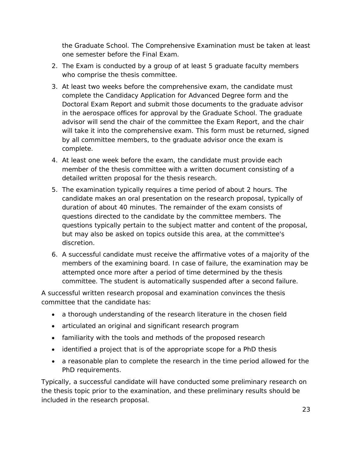the Graduate School. The Comprehensive Examination must be taken at least one semester before the Final Exam.

- 2. The Exam is conducted by a group of at least 5 graduate faculty members who comprise the thesis committee.
- 3. At least two weeks before the comprehensive exam, the candidate must complete the Candidacy Application for Advanced Degree form and the Doctoral Exam Report and submit those documents to the graduate advisor in the aerospace offices for approval by the Graduate School. The graduate advisor will send the chair of the committee the Exam Report, and the chair will take it into the comprehensive exam. This form must be returned, signed by all committee members, to the graduate advisor once the exam is complete.
- 4. At least one week before the exam, the candidate must provide each member of the thesis committee with a written document consisting of a detailed written proposal for the thesis research.
- 5. The examination typically requires a time period of about 2 hours. The candidate makes an oral presentation on the research proposal, typically of duration of about 40 minutes. The remainder of the exam consists of questions directed to the candidate by the committee members. The questions typically pertain to the subject matter and content of the proposal, but may also be asked on topics outside this area, at the committee's discretion.
- 6. A successful candidate must receive the affirmative votes of a majority of the members of the examining board. In case of failure, the examination may be attempted once more after a period of time determined by the thesis committee. The student is automatically suspended after a second failure.

A successful written research proposal and examination convinces the thesis committee that the candidate has:

- a thorough understanding of the research literature in the chosen field
- articulated an original and significant research program
- familiarity with the tools and methods of the proposed research
- identified a project that is of the appropriate scope for a PhD thesis
- a reasonable plan to complete the research in the time period allowed for the PhD requirements.

Typically, a successful candidate will have conducted some preliminary research on the thesis topic prior to the examination, and these preliminary results should be included in the research proposal.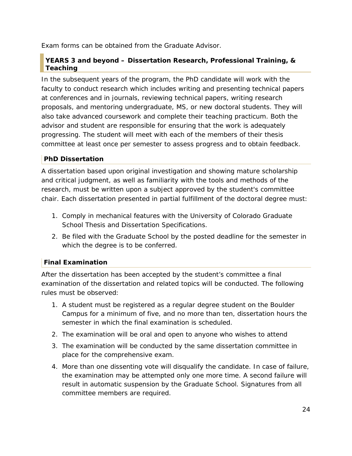Exam forms can be obtained from the Graduate Advisor.

#### <span id="page-23-0"></span>**YEARS 3 and beyond – Dissertation Research, Professional Training, & Teaching**

In the subsequent years of the program, the PhD candidate will work with the faculty to conduct research which includes writing and presenting technical papers at conferences and in journals, reviewing technical papers, writing research proposals, and mentoring undergraduate, MS, or new doctoral students. They will also take advanced coursework and complete their teaching practicum. Both the advisor and student are responsible for ensuring that the work is adequately progressing. The student will meet with each of the members of their thesis committee at least once per semester to assess progress and to obtain feedback.

#### **PhD Dissertation**

A dissertation based upon original investigation and showing mature scholarship and critical judgment, as well as familiarity with the tools and methods of the research, must be written upon a subject approved by the student's committee chair. Each dissertation presented in partial fulfillment of the doctoral degree must:

- 1. Comply in mechanical features with the University of Colorado Graduate School Thesis and Dissertation Specifications.
- 2. Be filed with the Graduate School by the posted deadline for the semester in which the degree is to be conferred.

## **Final Examination**

After the dissertation has been accepted by the student's committee a final examination of the dissertation and related topics will be conducted. The following rules must be observed:

- 1. A student must be registered as a regular degree student on the Boulder Campus for a minimum of five, and no more than ten, dissertation hours the semester in which the final examination is scheduled.
- 2. The examination will be oral and open to anyone who wishes to attend
- 3. The examination will be conducted by the same dissertation committee in place for the comprehensive exam.
- 4. More than one dissenting vote will disqualify the candidate. In case of failure, the examination may be attempted only one more time. A second failure will result in automatic suspension by the Graduate School. Signatures from all committee members are required.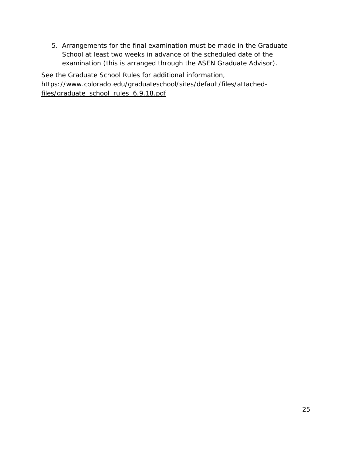5. Arrangements for the final examination must be made in the Graduate School at least two weeks in advance of the scheduled date of the examination (this is arranged through the ASEN Graduate Advisor).

See the Graduate School Rules for additional information, [https://www.colorado.edu/graduateschool/sites/default/files/attached](https://www.colorado.edu/graduateschool/sites/default/files/attached-files/graduate_school_rules_6.9.18.pdf)files/graduate\_school\_rules\_6.9.18.pdf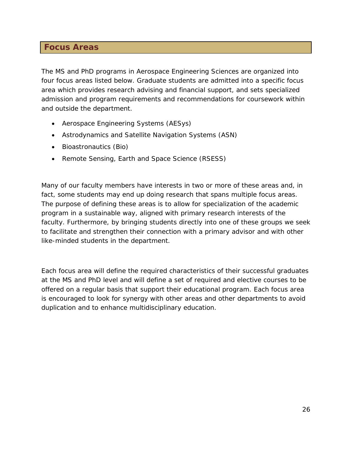## <span id="page-25-0"></span>**Focus Areas**

The MS and PhD programs in Aerospace Engineering Sciences are organized into four focus areas listed below. Graduate students are admitted into a specific focus area which provides research advising and financial support, and sets specialized admission and program requirements and recommendations for coursework within and outside the department.

- Aerospace Engineering Systems (AESys)
- Astrodynamics and Satellite Navigation Systems (ASN)
- Bioastronautics (Bio)
- Remote Sensing, Earth and Space Science (RSESS)

Many of our faculty members have interests in two or more of these areas and, in fact, some students may end up doing research that spans multiple focus areas. The purpose of defining these areas is to allow for specialization of the academic program in a sustainable way, aligned with primary research interests of the faculty. Furthermore, by bringing students directly into one of these groups we seek to facilitate and strengthen their connection with a primary advisor and with other like-minded students in the department.

Each focus area will define the required characteristics of their successful graduates at the MS and PhD level and will define a set of required and elective courses to be offered on a regular basis that support their educational program. Each focus area is encouraged to look for synergy with other areas and other departments to avoid duplication and to enhance multidisciplinary education.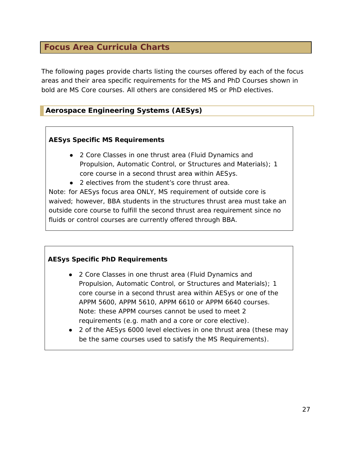## <span id="page-26-0"></span>**Focus Area Curricula Charts**

The following pages provide charts listing the courses offered by each of the focus areas and their area specific requirements for the MS and PhD Courses shown in bold are MS Core courses. All others are considered MS or PhD electives.

### <span id="page-26-1"></span>**Aerospace Engineering Systems (AESys)**

#### **AESys Specific MS Requirements**

- 2 Core Classes in one thrust area (Fluid Dynamics and Propulsion, Automatic Control, or Structures and Materials); 1 core course in a second thrust area within AESys.
- 2 electives from the student's core thrust area.

Note: for AESys focus area ONLY, MS requirement of outside core is waived; however, BBA students in the structures thrust area must take an outside core course to fulfill the second thrust area requirement since no fluids or control courses are currently offered through BBA.

#### **AESys Specific PhD Requirements**

- 2 Core Classes in one thrust area (Fluid Dynamics and Propulsion, Automatic Control, or Structures and Materials); 1 core course in a second thrust area within AESys or one of the APPM 5600, APPM 5610, APPM 6610 or APPM 6640 courses. Note: these APPM courses cannot be used to meet 2 requirements (e.g. math and a core or core elective).
- 2 of the AESys 6000 level electives in one thrust area (these may be the same courses used to satisfy the MS Requirements).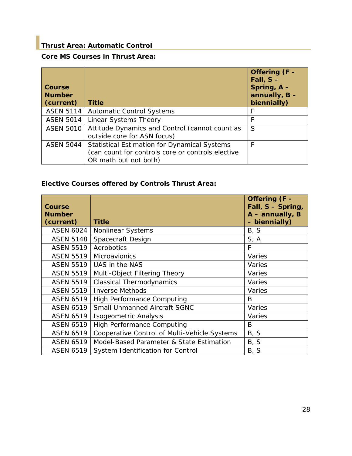## <span id="page-27-0"></span>**Thrust Area: Automatic Control**

## **Core MS Courses in Thrust Area:**

| Course<br><b>Number</b><br>(current) | <b>Title</b>                                                                                                                      | Offering (F -<br>Fall, $S -$<br>Spring, $A -$<br>annually, $B -$<br>biennially) |
|--------------------------------------|-----------------------------------------------------------------------------------------------------------------------------------|---------------------------------------------------------------------------------|
| <b>ASEN 5114</b>                     | <b>Automatic Control Systems</b>                                                                                                  | F                                                                               |
| <b>ASEN 5014</b>                     | Linear Systems Theory                                                                                                             | F                                                                               |
| <b>ASEN 5010</b>                     | Attitude Dynamics and Control (cannot count as<br>outside core for ASN focus)                                                     | S                                                                               |
| <b>ASEN 5044</b>                     | <b>Statistical Estimation for Dynamical Systems</b><br>(can count for controls core or controls elective<br>OR math but not both) | F                                                                               |

#### **Elective Courses offered by Controls Thrust Area:**

| <b>Course</b><br><b>Number</b><br>(current) | <b>Title</b>                                 | Offering (F -<br>Fall, S - Spring,<br>$A$ – annually, B<br>- biennially) |
|---------------------------------------------|----------------------------------------------|--------------------------------------------------------------------------|
| ASEN 6024                                   | Nonlinear Systems                            | B, S                                                                     |
| <b>ASEN 5148</b>                            | Spacecraft Design                            | S, A                                                                     |
| <b>ASEN 5519</b>                            | Aerobotics                                   | F                                                                        |
| <b>ASEN 5519</b>                            | Microavionics                                | Varies                                                                   |
| ASEN 5519                                   | UAS in the NAS                               | Varies                                                                   |
| <b>ASEN 5519</b>                            | Multi-Object Filtering Theory                | Varies                                                                   |
| <b>ASEN 5519</b>                            | <b>Classical Thermodynamics</b>              | Varies                                                                   |
| <b>ASEN 5519</b>                            | <b>Inverse Methods</b>                       | Varies                                                                   |
| <b>ASEN 6519</b>                            | <b>High Performance Computing</b>            | B                                                                        |
| <b>ASEN 6519</b>                            | <b>Small Unmanned Aircraft SGNC</b>          | Varies                                                                   |
| <b>ASEN 6519</b>                            | Isogeometric Analysis                        | Varies                                                                   |
| <b>ASEN 6519</b>                            | <b>High Performance Computing</b>            | B                                                                        |
| <b>ASEN 6519</b>                            | Cooperative Control of Multi-Vehicle Systems | B, S                                                                     |
| <b>ASEN 6519</b>                            | Model-Based Parameter & State Estimation     | B, S                                                                     |
| <b>ASEN 6519</b>                            | System Identification for Control            | B, S                                                                     |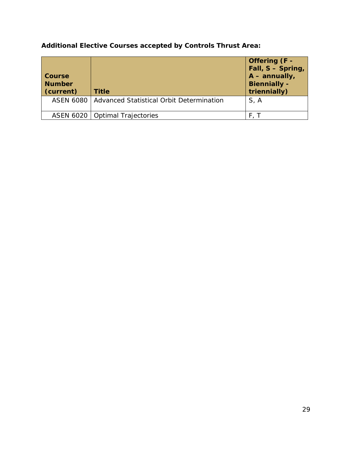| Course<br><b>Number</b><br>(current) | <b>Title</b>                                         | Offering (F -<br>Fall, S - Spring,<br>$A - annually,$<br><b>Biennially -</b><br>triennially) |
|--------------------------------------|------------------------------------------------------|----------------------------------------------------------------------------------------------|
|                                      | ASEN 6080   Advanced Statistical Orbit Determination | S, A                                                                                         |
|                                      | ASEN 6020   Optimal Trajectories                     |                                                                                              |

**Additional Elective Courses accepted by Controls Thrust Area:**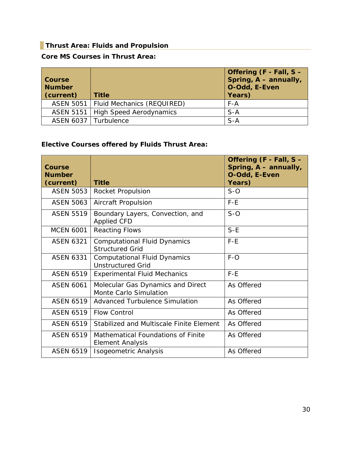### <span id="page-29-0"></span>**Thrust Area: Fluids and Propulsion**

#### **Core MS Courses in Thrust Area:**

| <b>Course</b><br><b>Number</b><br>(current) | <b>Title</b>                           | Offering (F - Fall, S -<br>Spring, A - annually,<br>O-Odd, E-Even<br>Years) |
|---------------------------------------------|----------------------------------------|-----------------------------------------------------------------------------|
|                                             | ASEN 5051   Fluid Mechanics (REQUIRED) | $F - A$                                                                     |
|                                             | ASEN 5151   High Speed Aerodynamics    | $S-A$                                                                       |
|                                             | ASEN 6037   Turbulence                 | $S-A$                                                                       |

## **Elective Courses offered by Fluids Thrust Area:**

| Course<br><b>Number</b> |                                                                 | Offering (F - Fall, S -<br>Spring, A - annually,<br>O-Odd, E-Even |
|-------------------------|-----------------------------------------------------------------|-------------------------------------------------------------------|
| (current)               | <b>Title</b>                                                    | Years)                                                            |
| <b>ASEN 5053</b>        | Rocket Propulsion                                               | $S-O$                                                             |
| <b>ASEN 5063</b>        | Aircraft Propulsion                                             | $F-E$                                                             |
| <b>ASEN 5519</b>        | Boundary Layers, Convection, and<br><b>Applied CFD</b>          | $S-O$                                                             |
| <b>MCEN 6001</b>        | <b>Reacting Flows</b>                                           | $S-E$                                                             |
| <b>ASEN 6321</b>        | <b>Computational Fluid Dynamics</b><br><b>Structured Grid</b>   | $F-E$                                                             |
| <b>ASEN 6331</b>        | <b>Computational Fluid Dynamics</b><br><b>Unstructured Grid</b> | $F-O$                                                             |
| <b>ASEN 6519</b>        | <b>Experimental Fluid Mechanics</b>                             | $F-E$                                                             |
| <b>ASEN 6061</b>        | Molecular Gas Dynamics and Direct<br>Monte Carlo Simulation     | As Offered                                                        |
| <b>ASEN 6519</b>        | <b>Advanced Turbulence Simulation</b>                           | As Offered                                                        |
| <b>ASFN 6519</b>        | <b>Flow Control</b>                                             | As Offered                                                        |
| <b>ASEN 6519</b>        | Stabilized and Multiscale Finite Element                        | As Offered                                                        |
| <b>ASEN 6519</b>        | Mathematical Foundations of Finite<br><b>Element Analysis</b>   | As Offered                                                        |
| <b>ASEN 6519</b>        | Isogeometric Analysis                                           | As Offered                                                        |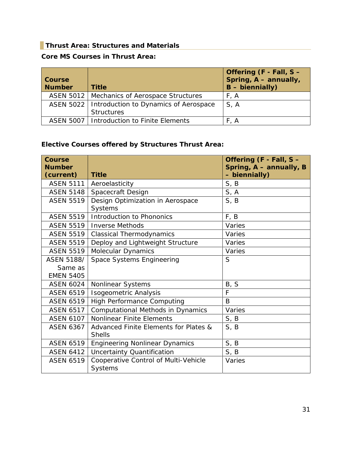### <span id="page-30-0"></span>**Thrust Area: Structures and Materials**

#### **Core MS Courses in Thrust Area:**

| <b>Course</b><br><b>Number</b> | <b>Title</b>                                                           | Offering (F - Fall, S -<br>Spring, A - annually,<br>$B - biennially)$ |
|--------------------------------|------------------------------------------------------------------------|-----------------------------------------------------------------------|
|                                | ASEN 5012   Mechanics of Aerospace Structures                          | F, A                                                                  |
|                                | ASEN 5022   Introduction to Dynamics of Aerospace<br><b>Structures</b> | S.A                                                                   |
|                                | ASEN 5007   Introduction to Finite Elements                            | F, A                                                                  |

## **Elective Courses offered by Structures Thrust Area:**

| <b>Course</b><br><b>Number</b> |                                                        | Offering (F - Fall, S -<br>Spring, A - annually, B |
|--------------------------------|--------------------------------------------------------|----------------------------------------------------|
| (current)                      | <b>Title</b>                                           | - biennially)                                      |
| ASEN 5111                      | Aeroelasticity                                         | S, B                                               |
| <b>ASEN 5148</b>               | Spacecraft Design                                      | S, A                                               |
| <b>ASEN 5519</b>               | Design Optimization in Aerospace<br>Systems            | S, B                                               |
| <b>ASEN 5519</b>               | Introduction to Phononics                              | F, B                                               |
| <b>ASEN 5519</b>               | <b>Inverse Methods</b>                                 | Varies                                             |
| <b>ASEN 5519</b>               | <b>Classical Thermodynamics</b>                        | Varies                                             |
| <b>ASEN 5519</b>               | Deploy and Lightweight Structure                       | Varies                                             |
| <b>ASEN 5519</b>               | Molecular Dynamics                                     | Varies                                             |
| <b>ASEN 5188/</b>              | <b>Space Systems Engineering</b>                       | S                                                  |
| Same as                        |                                                        |                                                    |
| <b>EMEN 5405</b>               |                                                        |                                                    |
| <b>ASEN 6024</b>               | Nonlinear Systems                                      | B, S                                               |
| <b>ASEN 6519</b>               | <b>Isogeometric Analysis</b>                           | $\mathsf{F}$                                       |
| <b>ASEN 6519</b>               | <b>High Performance Computing</b>                      | B                                                  |
| <b>ASEN 6517</b>               | <b>Computational Methods in Dynamics</b>               | Varies                                             |
| <b>ASEN 6107</b>               | <b>Nonlinear Finite Elements</b>                       | S, B                                               |
| <b>ASEN 6367</b>               | Advanced Finite Elements for Plates &<br><b>Shells</b> | S, B                                               |
| <b>ASEN 6519</b>               | <b>Engineering Nonlinear Dynamics</b>                  | S, B                                               |
| <b>ASEN 6412</b>               | <b>Uncertainty Quantification</b>                      | S, B                                               |
| <b>ASEN 6519</b>               | Cooperative Control of Multi-Vehicle<br><b>Systems</b> | Varies                                             |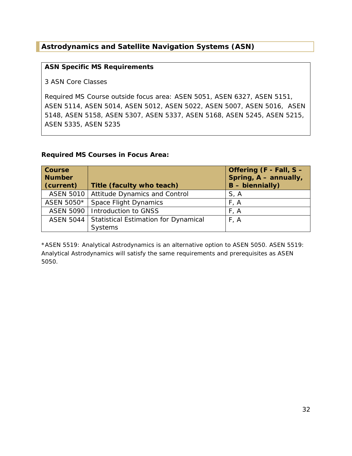## <span id="page-31-0"></span>**Astrodynamics and Satellite Navigation Systems (ASN)**

#### **ASN Specific MS Requirements**

3 ASN Core Classes

Required MS Course outside focus area: ASEN 5051, ASEN 6327, ASEN 5151, ASEN 5114, ASEN 5014, ASEN 5012, ASEN 5022, ASEN 5007, ASEN 5016, ASEN 5148, ASEN 5158, ASEN 5307, ASEN 5337, ASEN 5168, ASEN 5245, ASEN 5215, ASEN 5335, ASEN 5235

#### **Required MS Courses in Focus Area:**

| <b>Course</b><br><b>Number</b><br>(current) | Title (faculty who teach)                        | Offering (F - Fall, S -<br>Spring, A - annually,<br>$B - biennially)$ |
|---------------------------------------------|--------------------------------------------------|-----------------------------------------------------------------------|
|                                             | ASEN 5010   Attitude Dynamics and Control        | S, A                                                                  |
| ASEN 5050*                                  | <b>Space Flight Dynamics</b>                     | F, A                                                                  |
|                                             | ASEN 5090   Introduction to GNSS                 | F, A                                                                  |
|                                             | ASEN 5044   Statistical Estimation for Dynamical | F, A                                                                  |
|                                             | <b>Systems</b>                                   |                                                                       |

\*ASEN 5519: Analytical Astrodynamics is an alternative option to ASEN 5050. ASEN 5519: Analytical Astrodynamics will satisfy the same requirements and prerequisites as ASEN 5050.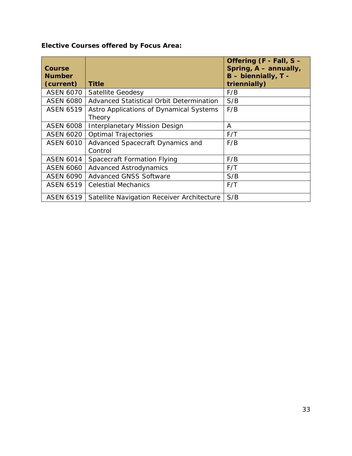## **Elective Courses offered by Focus Area:**

| <b>Course</b><br><b>Number</b><br>(current) | Title                                             | Offering (F - Fall, S -<br>Spring, A - annually,<br>B - biennially, T -<br>triennially) |
|---------------------------------------------|---------------------------------------------------|-----------------------------------------------------------------------------------------|
| <b>ASEN 6070</b>                            | <b>Satellite Geodesy</b>                          | F/B                                                                                     |
| <b>ASEN 6080</b>                            | Advanced Statistical Orbit Determination          | S/B                                                                                     |
| <b>ASEN 6519</b>                            | Astro Applications of Dynamical Systems<br>Theory | F/B                                                                                     |
| <b>ASEN 6008</b>                            | <b>Interplanetary Mission Design</b>              | A                                                                                       |
| <b>ASEN 6020</b>                            | <b>Optimal Trajectories</b>                       | F/T                                                                                     |
| <b>ASEN 6010</b>                            | Advanced Spacecraft Dynamics and<br>Control       | F/B                                                                                     |
| <b>ASEN 6014</b>                            | Spacecraft Formation Flying                       | F/B                                                                                     |
| <b>ASEN 6060</b>                            | <b>Advanced Astrodynamics</b>                     | F/T                                                                                     |
| <b>ASEN 6090</b>                            | <b>Advanced GNSS Software</b>                     | S/B                                                                                     |
| <b>ASEN 6519</b>                            | <b>Celestial Mechanics</b>                        | F/T                                                                                     |
| <b>ASEN 6519</b>                            | Satellite Navigation Receiver Architecture        | S/B                                                                                     |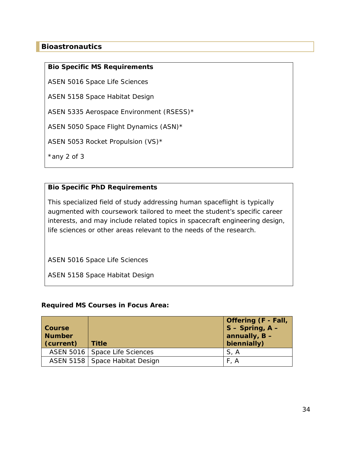#### <span id="page-33-0"></span>**Bioastronautics**

#### **Bio Specific MS Requirements**

ASEN 5016 Space Life Sciences

ASEN 5158 Space Habitat Design

ASEN 5335 Aerospace Environment (RSESS)\*

ASEN 5050 Space Flight Dynamics (ASN)\*

ASEN 5053 Rocket Propulsion (VS)\*

\*any 2 of 3

#### **Bio Specific PhD Requirements**

This specialized field of study addressing human spaceflight is typically augmented with coursework tailored to meet the student's specific career interests, and may include related topics in spacecraft engineering design, life sciences or other areas relevant to the needs of the research.

ASEN 5016 Space Life Sciences

ASEN 5158 Space Habitat Design

#### **Required MS Courses in Focus Area:**

| <b>Course</b><br><b>Number</b><br>(current) | <b>Title</b>                     | <b>Offering (F - Fall,</b><br>$S -$ Spring, $A -$<br>annually, $B -$<br>biennially) |
|---------------------------------------------|----------------------------------|-------------------------------------------------------------------------------------|
|                                             | ASEN 5016   Space Life Sciences  | S, A                                                                                |
|                                             | ASEN 5158   Space Habitat Design | F, A                                                                                |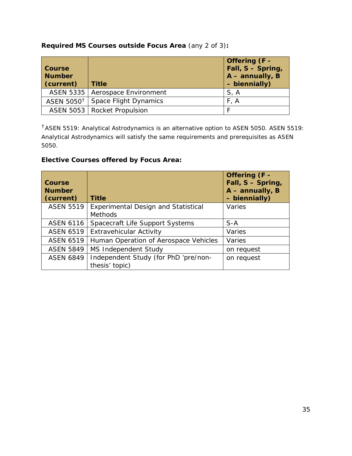#### **Required MS Courses outside Focus Area** (any 2 of 3)**:**

| Course<br><b>Number</b><br>(current) | <b>Title</b>                      | Offering (F -<br>Fall, S - Spring,<br>$A$ – annually, B<br>- biennially) |
|--------------------------------------|-----------------------------------|--------------------------------------------------------------------------|
|                                      | ASEN 5335   Aerospace Environment | S, A                                                                     |
| ASEN 5050. <sup>†</sup>              | <b>Space Flight Dynamics</b>      | F, A                                                                     |
|                                      | ASEN 5053   Rocket Propulsion     |                                                                          |

<sup>†</sup> ASEN 5519: Analytical Astrodynamics is an alternative option to ASEN 5050. ASEN 5519: Analytical Astrodynamics will satisfy the same requirements and prerequisites as ASEN 5050.

### **Elective Courses offered by Focus Area:**

| <b>Course</b><br><b>Number</b><br>(current) | <b>Title</b>                                                 | Offering (F -<br>Fall, S - Spring,<br>$A$ – annually, B<br>- biennially) |
|---------------------------------------------|--------------------------------------------------------------|--------------------------------------------------------------------------|
| <b>ASEN 5519</b>                            | <b>Experimental Design and Statistical</b><br><b>Methods</b> | Varies                                                                   |
| <b>ASEN 6116</b>                            | Spacecraft Life Support Systems                              | $S-A$                                                                    |
| <b>ASEN 6519</b>                            | <b>Extravehicular Activity</b>                               | Varies                                                                   |
| <b>ASEN 6519</b>                            | Human Operation of Aerospace Vehicles                        | Varies                                                                   |
| <b>ASEN 5849</b>                            | <b>MS Independent Study</b>                                  | on request                                                               |
| <b>ASEN 6849</b>                            | Independent Study (for PhD 'pre/non-<br>thesis' topic)       | on request                                                               |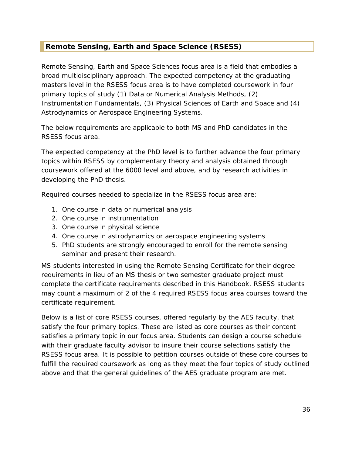#### <span id="page-35-0"></span>**Remote Sensing, Earth and Space Science (RSESS)**

Remote Sensing, Earth and Space Sciences focus area is a field that embodies a broad multidisciplinary approach. The expected competency at the graduating masters level in the RSESS focus area is to have completed coursework in four primary topics of study (1) Data or Numerical Analysis Methods, (2) Instrumentation Fundamentals, (3) Physical Sciences of Earth and Space and (4) Astrodynamics or Aerospace Engineering Systems.

The below requirements are applicable to both MS and PhD candidates in the RSESS focus area.

The expected competency at the PhD level is to further advance the four primary topics within RSESS by complementary theory and analysis obtained through coursework offered at the 6000 level and above, and by research activities in developing the PhD thesis.

Required courses needed to specialize in the RSESS focus area are:

- 1. One course in data or numerical analysis
- 2. One course in instrumentation
- 3. One course in physical science
- 4. One course in astrodynamics or aerospace engineering systems
- 5. PhD students are strongly encouraged to enroll for the remote sensing seminar and present their research.

MS students interested in using the Remote Sensing Certificate for their degree requirements in lieu of an MS thesis or two semester graduate project must complete the certificate requirements described in this Handbook. RSESS students may count a maximum of 2 of the 4 required RSESS focus area courses toward the certificate requirement.

Below is a list of core RSESS courses, offered regularly by the AES faculty, that satisfy the four primary topics. These are listed as core courses as their content satisfies a primary topic in our focus area. Students can design a course schedule with their graduate faculty advisor to insure their course selections satisfy the RSESS focus area. It is possible to petition courses outside of these core courses to fulfill the required coursework as long as they meet the four topics of study outlined above and that the general guidelines of the AES graduate program are met.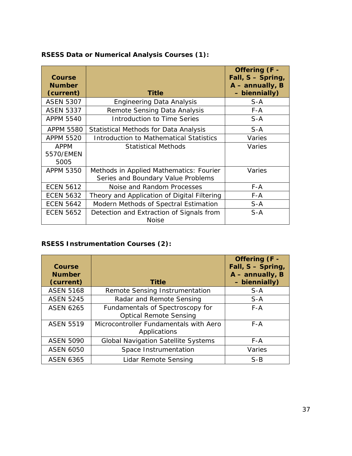| <b>Course</b><br><b>Number</b><br>(current) | <b>Title</b>                                                                  | Offering (F -<br>Fall, S - Spring,<br>$A - annually, B$<br>- biennially) |
|---------------------------------------------|-------------------------------------------------------------------------------|--------------------------------------------------------------------------|
| <b>ASEN 5307</b>                            | <b>Engineering Data Analysis</b>                                              | $S-A$                                                                    |
| <b>ASEN 5337</b>                            | Remote Sensing Data Analysis                                                  | $F - A$                                                                  |
| <b>APPM 5540</b>                            | Introduction to Time Series                                                   | $S-A$                                                                    |
| <b>APPM 5580</b>                            | Statistical Methods for Data Analysis                                         | $S-A$                                                                    |
| <b>APPM 5520</b>                            | <b>Introduction to Mathematical Statistics</b>                                | Varies                                                                   |
| <b>APPM</b><br>5570/EMEN<br>5005            | <b>Statistical Methods</b>                                                    | Varies                                                                   |
| <b>APPM 5350</b>                            | Methods in Applied Mathematics: Fourier<br>Series and Boundary Value Problems | Varies                                                                   |
| <b>ECEN 5612</b>                            | Noise and Random Processes                                                    | $F - A$                                                                  |
| <b>ECEN 5632</b>                            | Theory and Application of Digital Filtering                                   | $F - A$                                                                  |
| <b>ECEN 5642</b>                            | Modern Methods of Spectral Estimation                                         | $S-A$                                                                    |
| <b>ECEN 5652</b>                            | Detection and Extraction of Signals from<br><b>Noise</b>                      | $S-A$                                                                    |

#### **RSESS Data or Numerical Analysis Courses (1):**

## **RSESS Instrumentation Courses (2):**

| Course<br><b>Number</b><br>(current) | <b>Title</b>                                                      | Offering (F -<br>Fall, S - Spring,<br>$A - annually, B$<br>- biennially) |
|--------------------------------------|-------------------------------------------------------------------|--------------------------------------------------------------------------|
| <b>ASEN 5168</b>                     | Remote Sensing Instrumentation                                    | $S-A$                                                                    |
| <b>ASEN 5245</b>                     | Radar and Remote Sensing                                          | $S-A$                                                                    |
| <b>ASEN 6265</b>                     | Fundamentals of Spectroscopy for<br><b>Optical Remote Sensing</b> | $F - A$                                                                  |
| <b>ASEN 5519</b>                     | Microcontroller Fundamentals with Aero<br>Applications            | F-A                                                                      |
| <b>ASEN 5090</b>                     | <b>Global Navigation Satellite Systems</b>                        | F-A                                                                      |
| <b>ASEN 6050</b>                     | Space Instrumentation                                             | Varies                                                                   |
| <b>ASEN 6365</b>                     | Lidar Remote Sensing                                              | $S-B$                                                                    |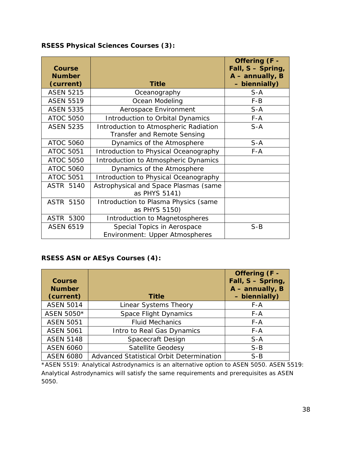| <b>Course</b><br><b>Number</b><br>(current) | <b>Title</b>                                                                | Offering (F -<br>Fall, S - Spring,<br>$A$ – annually, B<br>- biennially) |
|---------------------------------------------|-----------------------------------------------------------------------------|--------------------------------------------------------------------------|
| <b>ASEN 5215</b>                            | Oceanography                                                                | $S-A$                                                                    |
| <b>ASEN 5519</b>                            | Ocean Modeling                                                              | $F - B$                                                                  |
| <b>ASEN 5335</b>                            | Aerospace Environment                                                       | $S-A$                                                                    |
| <b>ATOC 5050</b>                            | Introduction to Orbital Dynamics                                            | $F - A$                                                                  |
| <b>ASEN 5235</b>                            | Introduction to Atmospheric Radiation<br><b>Transfer and Remote Sensing</b> | $S-A$                                                                    |
| <b>ATOC 5060</b>                            | Dynamics of the Atmosphere                                                  | $S-A$                                                                    |
| <b>ATOC 5051</b>                            | Introduction to Physical Oceanography                                       | $F - A$                                                                  |
| <b>ATOC 5050</b>                            | Introduction to Atmospheric Dynamics                                        |                                                                          |
| <b>ATOC 5060</b>                            | Dynamics of the Atmosphere                                                  |                                                                          |
| <b>ATOC 5051</b>                            | Introduction to Physical Oceanography                                       |                                                                          |
| <b>ASTR 5140</b>                            | Astrophysical and Space Plasmas (same<br>as PHYS 5141)                      |                                                                          |
| <b>ASTR 5150</b>                            | Introduction to Plasma Physics (same<br>as PHYS 5150)                       |                                                                          |
| <b>ASTR 5300</b>                            | Introduction to Magnetospheres                                              |                                                                          |
| <b>ASEN 6519</b>                            | Special Topics in Aerospace<br>Environment: Upper Atmospheres               | $S-B$                                                                    |

## **RSESS Physical Sciences Courses (3):**

#### **RSESS ASN or AESys Courses (4):**

| Course<br><b>Number</b><br>(current) | <b>Title</b>                             | Offering (F -<br>Fall, S - Spring,<br>$A$ – annually, B<br>- biennially) |  |
|--------------------------------------|------------------------------------------|--------------------------------------------------------------------------|--|
| <b>ASEN 5014</b>                     | Linear Systems Theory                    | $F - A$                                                                  |  |
| ASEN 5050*                           | <b>Space Flight Dynamics</b>             | F-A                                                                      |  |
| <b>ASEN 5051</b>                     | <b>Fluid Mechanics</b>                   | $F - A$                                                                  |  |
| <b>ASEN 5061</b>                     | Intro to Real Gas Dynamics               | $F - A$                                                                  |  |
| <b>ASEN 5148</b>                     | Spacecraft Design                        | $S-A$                                                                    |  |
| <b>ASEN 6060</b>                     | Satellite Geodesy                        | $S-B$                                                                    |  |
| <b>ASEN 6080</b>                     | Advanced Statistical Orbit Determination | $S-B$                                                                    |  |

\*ASEN 5519: Analytical Astrodynamics is an alternative option to ASEN 5050. ASEN 5519: Analytical Astrodynamics will satisfy the same requirements and prerequisites as ASEN 5050.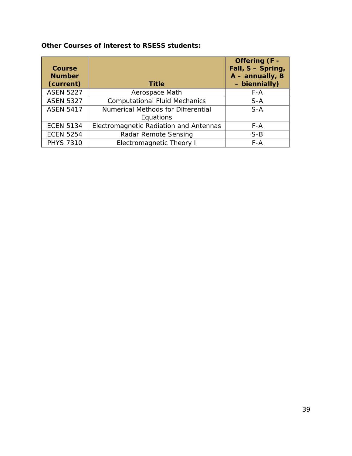| <b>Course</b><br><b>Number</b><br>(current) | <b>Title</b>                           | Offering (F -<br>Fall, S - Spring,<br>$A$ – annually, B<br>- biennially) |
|---------------------------------------------|----------------------------------------|--------------------------------------------------------------------------|
|                                             |                                        |                                                                          |
| <b>ASEN 5227</b>                            | Aerospace Math                         | $F - A$                                                                  |
| <b>ASEN 5327</b>                            | <b>Computational Fluid Mechanics</b>   | $S-A$                                                                    |
| <b>ASEN 5417</b>                            | Numerical Methods for Differential     | $S-A$                                                                    |
|                                             | Equations                              |                                                                          |
| <b>ECEN 5134</b>                            | Electromagnetic Radiation and Antennas | $F - A$                                                                  |
| <b>ECEN 5254</b>                            | Radar Remote Sensing                   | $S-B$                                                                    |

PHYS 7310 **Electromagnetic Theory I** F-A

**Other Courses of interest to RSESS students:**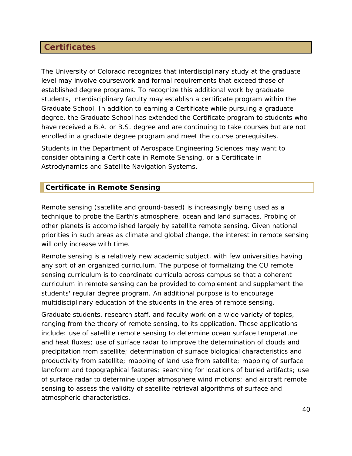## <span id="page-39-0"></span>**Certificates**

The University of Colorado recognizes that interdisciplinary study at the graduate level may involve coursework and formal requirements that exceed those of established degree programs. To recognize this additional work by graduate students, interdisciplinary faculty may establish a certificate program within the Graduate School. In addition to earning a Certificate while pursuing a graduate degree, the Graduate School has extended the Certificate program to students who have received a B.A. or B.S. degree and are continuing to take courses but are not enrolled in a graduate degree program and meet the course prerequisites.

Students in the Department of Aerospace Engineering Sciences may want to consider obtaining a Certificate in Remote Sensing, or a Certificate in Astrodynamics and Satellite Navigation Systems.

#### <span id="page-39-1"></span>**Certificate in Remote Sensing**

Remote sensing (satellite and ground-based) is increasingly being used as a technique to probe the Earth's atmosphere, ocean and land surfaces. Probing of other planets is accomplished largely by satellite remote sensing. Given national priorities in such areas as climate and global change, the interest in remote sensing will only increase with time.

Remote sensing is a relatively new academic subject, with few universities having any sort of an organized curriculum. The purpose of formalizing the CU remote sensing curriculum is to coordinate curricula across campus so that a coherent curriculum in remote sensing can be provided to complement and supplement the students' regular degree program. An additional purpose is to encourage multidisciplinary education of the students in the area of remote sensing.

Graduate students, research staff, and faculty work on a wide variety of topics, ranging from the theory of remote sensing, to its application. These applications include: use of satellite remote sensing to determine ocean surface temperature and heat fluxes; use of surface radar to improve the determination of clouds and precipitation from satellite; determination of surface biological characteristics and productivity from satellite; mapping of land use from satellite; mapping of surface landform and topographical features; searching for locations of buried artifacts; use of surface radar to determine upper atmosphere wind motions; and aircraft remote sensing to assess the validity of satellite retrieval algorithms of surface and atmospheric characteristics.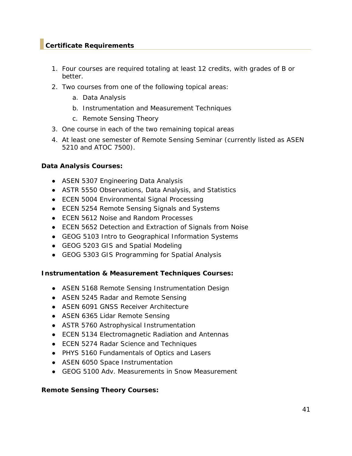#### <span id="page-40-0"></span>**Certificate Requirements**

- 1. Four courses are required totaling at least 12 credits, with grades of B or better.
- 2. Two courses from one of the following topical areas:
	- a. Data Analysis
	- b. Instrumentation and Measurement Techniques
	- c. Remote Sensing Theory
- 3. One course in each of the two remaining topical areas
- 4. At least one semester of Remote Sensing Seminar (currently listed as ASEN 5210 and ATOC 7500).

#### **Data Analysis Courses:**

- ASEN 5307 Engineering Data Analysis
- ASTR 5550 Observations, Data Analysis, and Statistics
- ECEN 5004 Environmental Signal Processing
- ECEN 5254 Remote Sensing Signals and Systems
- ECEN 5612 Noise and Random Processes
- ECEN 5652 Detection and Extraction of Signals from Noise
- GEOG 5103 Intro to Geographical Information Systems
- GEOG 5203 GIS and Spatial Modeling
- GEOG 5303 GIS Programming for Spatial Analysis

#### **Instrumentation & Measurement Techniques Courses:**

- ASEN 5168 Remote Sensing Instrumentation Design
- ASEN 5245 Radar and Remote Sensing
- ASEN 6091 GNSS Receiver Architecture
- ASEN 6365 Lidar Remote Sensing
- ASTR 5760 Astrophysical Instrumentation
- ECEN 5134 Electromagnetic Radiation and Antennas
- ECEN 5274 Radar Science and Techniques
- PHYS 5160 Fundamentals of Optics and Lasers
- ASEN 6050 Space Instrumentation
- GEOG 5100 Adv. Measurements in Snow Measurement

#### **Remote Sensing Theory Courses:**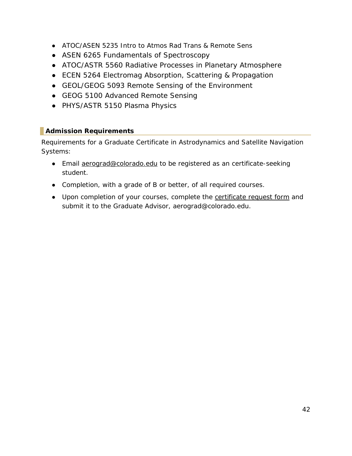- ATOC/ASEN 5235 Intro to Atmos Rad Trans & Remote Sens
- ASEN 6265 Fundamentals of Spectroscopy
- ATOC/ASTR 5560 Radiative Processes in Planetary Atmosphere
- ECEN 5264 Electromag Absorption, Scattering & Propagation
- GEOL/GEOG 5093 Remote Sensing of the Environment
- GEOG 5100 Advanced Remote Sensing
- PHYS/ASTR 5150 Plasma Physics

## <span id="page-41-0"></span>**Admission Requirements**

Requirements for a Graduate Certificate in Astrodynamics and Satellite Navigation Systems:

- Email **aerograd@colorado.edu** to be registered as an certificate-seeking student.
- Completion, with a grade of B or better, of all required courses.
- Upon completion of your courses, complete the [certificate request form](https://www.colorado.edu/aerospace/node/142/attachment) and submit it to the Graduate Advisor, aerograd@colorado.edu.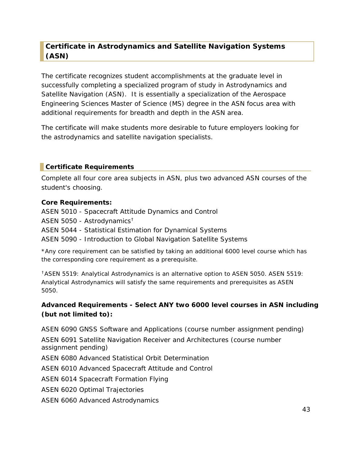## <span id="page-42-0"></span>**Certificate in Astrodynamics and Satellite Navigation Systems (ASN)**

The certificate recognizes student accomplishments at the graduate level in successfully completing a specialized program of study in Astrodynamics and Satellite Navigation (ASN). It is essentially a specialization of the Aerospace Engineering Sciences Master of Science (MS) degree in the ASN focus area with additional requirements for breadth and depth in the ASN area.

The certificate will make students more desirable to future employers looking for the astrodynamics and satellite navigation specialists.

#### <span id="page-42-1"></span>**Certificate Requirements**

Complete all four core area subjects in ASN, plus two advanced ASN courses of the student's choosing.

#### **Core Requirements:**

ASEN 5010 - Spacecraft Attitude Dynamics and Control

ASEN 5050 - Astrodynamics $^\dagger$ 

ASEN 5044 - Statistical Estimation for Dynamical Systems

ASEN 5090 - Introduction to Global Navigation Satellite Systems

\*Any core requirement can be satisfied by taking an additional 6000 level course which has the corresponding core requirement as a prerequisite.

<sup>†</sup> ASEN 5519: Analytical Astrodynamics is an alternative option to ASEN 5050. ASEN 5519: Analytical Astrodynamics will satisfy the same requirements and prerequisites as ASEN 5050.

#### **Advanced Requirements - Select ANY two 6000 level courses in ASN including (but not limited to):**

ASEN 6090 GNSS Software and Applications (course number assignment pending) ASEN 6091 Satellite Navigation Receiver and Architectures (course number assignment pending) ASEN 6080 Advanced Statistical Orbit Determination ASEN 6010 Advanced Spacecraft Attitude and Control

ASEN 6014 Spacecraft Formation Flying

ASEN 6020 Optimal Trajectories

ASEN 6060 Advanced Astrodynamics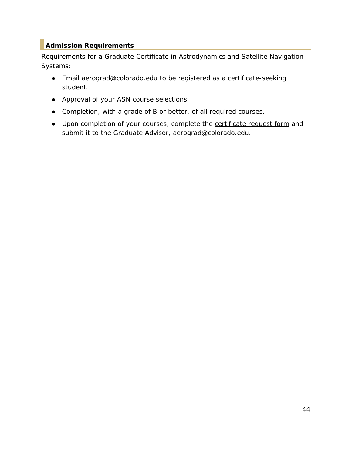## <span id="page-43-0"></span>**Admission Requirements**

Requirements for a Graduate Certificate in Astrodynamics and Satellite Navigation Systems:

- Email [aerograd@colorado.edu](mailto:aerograd@colorado.edu) to be registered as a certificate-seeking student.
- Approval of your ASN course selections.
- Completion, with a grade of B or better, of all required courses.
- Upon completion of your courses, complete the [certificate request form](https://www.colorado.edu/aerospace/node/142/attachment) and submit it to the Graduate Advisor, aerograd@colorado.edu.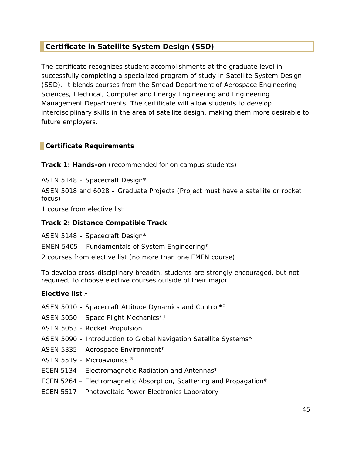## <span id="page-44-0"></span>**Certificate in Satellite System Design (SSD)**

The certificate recognizes student accomplishments at the graduate level in successfully completing a specialized program of study in Satellite System Design (SSD). It blends courses from the Smead Department of Aerospace Engineering Sciences, Electrical, Computer and Energy Engineering and Engineering Management Departments. The certificate will allow students to develop interdisciplinary skills in the area of satellite design, making them more desirable to future employers.

#### <span id="page-44-1"></span>**Certificate Requirements**

**Track 1: Hands-on** (recommended for on campus students)

ASEN 5148 – Spacecraft Design\*

ASEN 5018 and 6028 – Graduate Projects (Project must have a satellite or rocket focus)

1 course from elective list

#### **Track 2: Distance Compatible Track**

ASEN 5148 – Spacecraft Design\*

EMEN 5405 – Fundamentals of System Engineering\*

2 courses from elective list (no more than one EMEN course)

*To develop cross-disciplinary breadth, students are strongly encouraged, but not required, to choose elective courses outside of their major.*

#### **Elective list** <sup>P</sup> 1

- ASEN 5010 Spacecraft Attitude Dynamics and Control\*<sup>2</sup>
- ASEN 5050 Space Flight Mechanics\*<sup>†</sup>
- ASEN 5053 Rocket Propulsion
- ASEN 5090 Introduction to Global Navigation Satellite Systems\*
- ASEN 5335 Aerospace Environment\*
- ASEN 5519 Microavionics  $3$
- ECEN 5134 Electromagnetic Radiation and Antennas\*
- ECEN 5264 Electromagnetic Absorption, Scattering and Propagation\*
- ECEN 5517 Photovoltaic Power Electronics Laboratory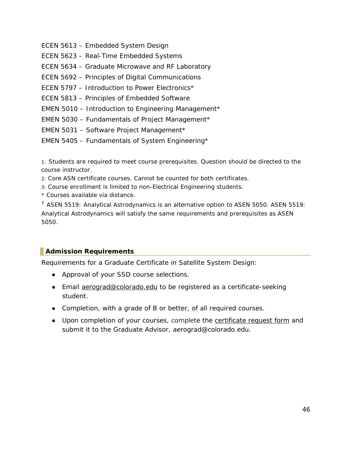- ECEN 5613 Embedded System Design
- ECEN 5623 Real-Time Embedded Systems
- ECEN 5634 Graduate Microwave and RF Laboratory
- ECEN 5692 Principles of Digital Communications
- ECEN 5797 Introduction to Power Electronics\*
- ECEN 5813 Principles of Embedded Software
- EMEN 5010 Introduction to Engineering Management\*
- EMEN 5030 Fundamentals of Project Management\*
- EMEN 5031 Software Project Management\*
- EMEN 5405 Fundamentals of System Engineering\*

1: Students are required to meet course prerequisites. Question should be directed to the course instructor.

2: Core ASN certificate courses. Cannot be counted for both certificates.

- 3: Course enrollment is limited to non-Electrical Engineering students.
- \* Courses available via distance.

<sup>†</sup> ASEN 5519: Analytical Astrodynamics is an alternative option to ASEN 5050. ASEN 5519: Analytical Astrodynamics will satisfy the same requirements and prerequisites as ASEN 5050.

#### <span id="page-45-0"></span>**Admission Requirements**

Requirements for a Graduate Certificate in Satellite System Design:

- Approval of your SSD course selections.
- Email [aerograd@colorado.edu](mailto:aerograd@colorado.edu) to be registered as a certificate-seeking student.
- Completion, with a grade of B or better, of all required courses.
- Upon completion of your courses, complete the [certificate request form](https://www.colorado.edu/aerospace/node/142/attachment) and submit it to the Graduate Advisor, aerograd@colorado.edu.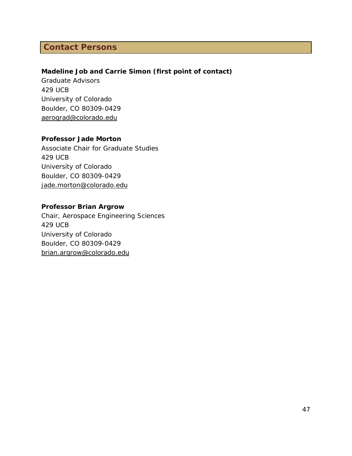## <span id="page-46-0"></span>**Contact Persons**

#### **Madeline Job and Carrie Simon (first point of contact)**

Graduate Advisors 429 UCB University of Colorado Boulder, CO 80309-0429 [aerograd@colorado.edu](mailto:annie.brookover@colorado.edu)

#### **Professor Jade Morton**

Associate Chair for Graduate Studies 429 UCB University of Colorado Boulder, CO 80309-0429 [jade.morton@colorado.edu](mailto:jade.morton@colorado.edu) 

#### **Professor Brian Argrow**

Chair, Aerospace Engineering Sciences 429 UCB University of Colorado Boulder, CO 80309-0429 [brian.argrow@colorado.edu](mailto:penina.axelrad@colorado.edu)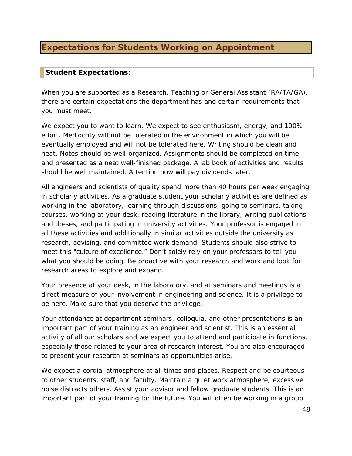## <span id="page-47-0"></span>**Expectations for Students Working on Appointment**

#### <span id="page-47-1"></span>**Student Expectations:**

When you are supported as a Research, Teaching or General Assistant (RA/TA/GA), there are certain expectations the department has and certain requirements that you must meet.

We expect you to want to learn. We expect to see enthusiasm, energy, and 100% effort. Mediocrity will not be tolerated in the environment in which you will be eventually employed and will not be tolerated here. Writing should be clean and neat. Notes should be well-organized. Assignments should be completed on time and presented as a neat well-finished package. A lab book of activities and results should be well maintained. Attention now will pay dividends later.

All engineers and scientists of quality spend more than 40 hours per week engaging in scholarly activities. As a graduate student your scholarly activities are defined as working in the laboratory, learning through discussions, going to seminars, taking courses, working at your desk, reading literature in the library, writing publications and theses, and participating in university activities. Your professor is engaged in all these activities and additionally in similar activities outside the university as research, advising, and committee work demand. Students should also strive to meet this "culture of excellence." Don't solely rely on your professors to tell you what you should be doing. Be proactive with your research and work and look for research areas to explore and expand.

Your presence at your desk, in the laboratory, and at seminars and meetings is a direct measure of your involvement in engineering and science. It is a privilege to be here. Make sure that you deserve the privilege.

Your attendance at department seminars, colloquia, and other presentations is an important part of your training as an engineer and scientist. This is an essential activity of all our scholars and we expect you to attend and participate in functions, especially those related to your area of research interest. You are also encouraged to present your research at seminars as opportunities arise.

We expect a cordial atmosphere at all times and places. Respect and be courteous to other students, staff, and faculty. Maintain a quiet work atmosphere; excessive noise distracts others. Assist your advisor and fellow graduate students. This is an important part of your training for the future. You will often be working in a group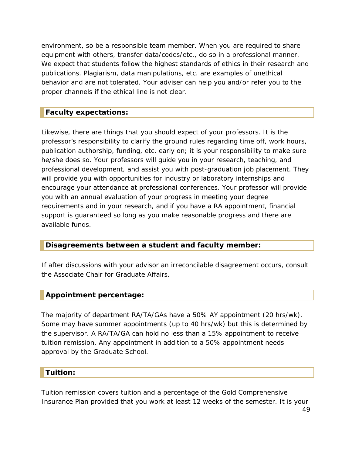environment, so be a responsible team member. When you are required to share equipment with others, transfer data/codes/etc., do so in a professional manner. We expect that students follow the highest standards of ethics in their research and publications. Plagiarism, data manipulations, etc. are examples of unethical behavior and are not tolerated. Your adviser can help you and/or refer you to the proper channels if the ethical line is not clear.

#### <span id="page-48-0"></span>**Faculty expectations:**

Likewise, there are things that you should expect of your professors. It is the professor's responsibility to clarify the ground rules regarding time off, work hours, publication authorship, funding, etc. early on; it is your responsibility to make sure he/she does so. Your professors will guide you in your research, teaching, and professional development, and assist you with post-graduation job placement. They will provide you with opportunities for industry or laboratory internships and encourage your attendance at professional conferences. Your professor will provide you with an annual evaluation of your progress in meeting your degree requirements and in your research, and if you have a RA appointment, financial support is guaranteed so long as you make reasonable progress and there are available funds.

#### <span id="page-48-1"></span>**Disagreements between a student and faculty member:**

If after discussions with your advisor an irreconcilable disagreement occurs, consult the Associate Chair for Graduate Affairs.

#### <span id="page-48-2"></span>**Appointment percentage:**

The majority of department RA/TA/GAs have a 50% AY appointment (20 hrs/wk). Some may have summer appointments (up to 40 hrs/wk) but this is determined by the supervisor. A RA/TA/GA can hold no less than a 15% appointment to receive tuition remission. Any appointment in addition to a 50% appointment needs approval by the Graduate School.

#### <span id="page-48-3"></span>**Tuition:**

Tuition remission covers tuition and a percentage of the Gold Comprehensive Insurance Plan provided that you work at least 12 weeks of the semester. It is your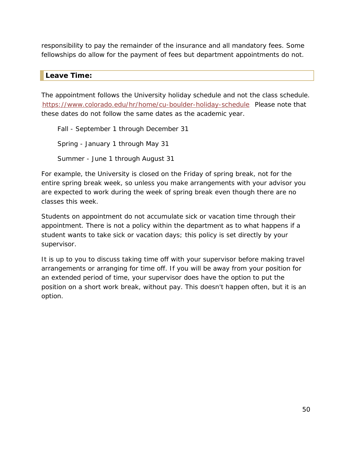responsibility to pay the remainder of the insurance and all mandatory fees. Some fellowships do allow for the payment of fees but department appointments do not.

#### <span id="page-49-0"></span>**Leave Time:**

The appointment follows the University holiday schedule and not the class schedule. <https://www.colorado.edu/hr/home/cu-boulder-holiday-schedule>. Please note that these dates do not follow the same dates as the academic year.

Fall - September 1 through December 31 Spring - January 1 through May 31 Summer - June 1 through August 31

For example, the University is closed on the Friday of spring break, not for the entire spring break week, so unless you make arrangements with your advisor you are expected to work during the week of spring break even though there are no classes this week.

Students on appointment do not accumulate sick or vacation time through their appointment. There is not a policy within the department as to what happens if a student wants to take sick or vacation days; this policy is set directly by your supervisor.

It is up to you to discuss taking time off with your supervisor before making travel arrangements or arranging for time off. If you will be away from your position for an extended period of time, your supervisor does have the option to put the position on a short work break, without pay. This doesn't happen often, but it is an option.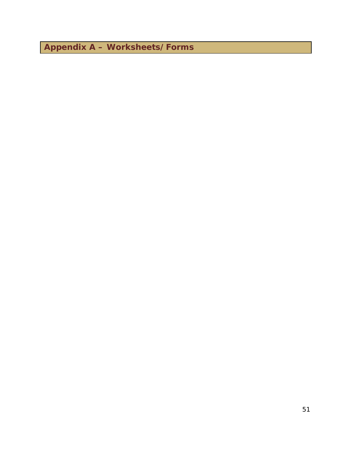<span id="page-50-0"></span>**Appendix A – Worksheets/Forms**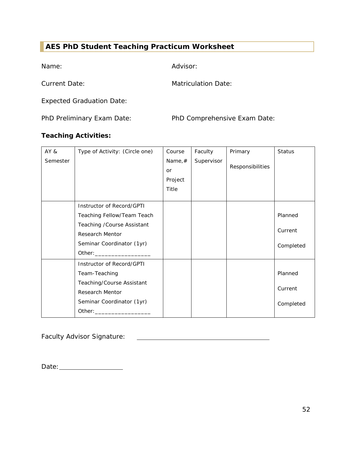## <span id="page-51-0"></span>**AES PhD Student Teaching Practicum Worksheet**

Name: Advisor:

Current Date: Matriculation Date:

Expected Graduation Date:

PhD Preliminary Exam Date: PhD Comprehensive Exam Date:

#### **Teaching Activities:**

| AY &     | Type of Activity: (Circle one)                                                                                 | Course    | Faculty    | Primary          | <b>Status</b> |
|----------|----------------------------------------------------------------------------------------------------------------|-----------|------------|------------------|---------------|
| Semester |                                                                                                                | Name, $#$ | Supervisor |                  |               |
|          |                                                                                                                | <b>or</b> |            | Responsibilities |               |
|          |                                                                                                                | Project   |            |                  |               |
|          |                                                                                                                | Title     |            |                  |               |
|          |                                                                                                                |           |            |                  |               |
|          | Instructor of Record/GPTI                                                                                      |           |            |                  |               |
|          | Teaching Fellow/Team Teach                                                                                     |           |            |                  | Planned       |
|          | Teaching / Course Assistant                                                                                    |           |            |                  |               |
|          | <b>Research Mentor</b>                                                                                         |           |            |                  | Current       |
|          | Seminar Coordinator (1yr)                                                                                      |           |            |                  | Completed     |
|          |                                                                                                                |           |            |                  |               |
|          | Instructor of Record/GPTI                                                                                      |           |            |                  |               |
|          | Team-Teaching                                                                                                  |           |            |                  | Planned       |
|          | Teaching/Course Assistant                                                                                      |           |            |                  |               |
|          | <b>Research Mentor</b>                                                                                         |           |            |                  | Current       |
|          | Seminar Coordinator (1yr)                                                                                      |           |            |                  | Completed     |
|          | Other: and the contract of the contract of the contract of the contract of the contract of the contract of the |           |            |                  |               |

Faculty Advisor Signature:

Date: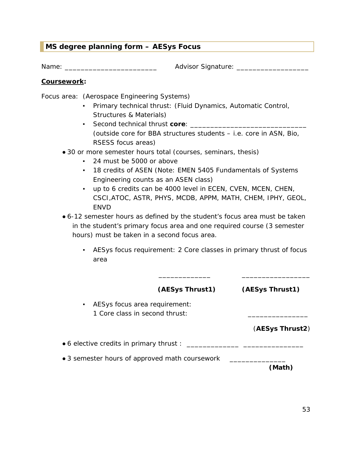## <span id="page-52-0"></span>**MS degree planning form – AESys Focus**

Name: \_\_\_\_\_\_\_\_\_\_\_\_\_\_\_\_\_\_\_\_\_\_\_\_\_\_\_ Advisor Signature: \_\_\_\_\_\_\_\_\_\_\_\_\_\_\_\_\_\_\_\_\_\_\_\_\_\_\_

#### **Coursework:**

Focus area: (Aerospace Engineering Systems)

- Primary technical thrust: (Fluid Dynamics, Automatic Control, Structures & Materials)
- **•** Second technical thrust **core**: (outside core for BBA structures students – i.e. core in ASN, Bio, RSESS focus areas)
- 30 or more semester hours total (courses, seminars, thesis)
	- 24 must be 5000 or above
	- 18 credits of ASEN (Note: EMEN 5405 Fundamentals of Systems Engineering counts as an ASEN class)
	- up to 6 credits can be 4000 level in ECEN, CVEN, MCEN, CHEN, CSCI,ATOC, ASTR, PHYS, MCDB, APPM, MATH, CHEM, IPHY, GEOL, **FNVD**
- 6-12 semester hours as defined by the student's focus area must be taken in the student's primary focus area and one required course (3 semester hours) must be taken in a second focus area.
	- AESys focus requirement: 2 Core classes in primary thrust of focus area

|                                                                                   | (AESys Thrust1) | (AESys Thrust1) |
|-----------------------------------------------------------------------------------|-----------------|-----------------|
| AESys focus area requirement:<br>$\blacksquare$<br>1 Core class in second thrust: |                 | (AESys Thrust2) |
| • 6 elective credits in primary thrust :                                          |                 |                 |
| • 3 semester hours of approved math coursework                                    |                 | (Math)          |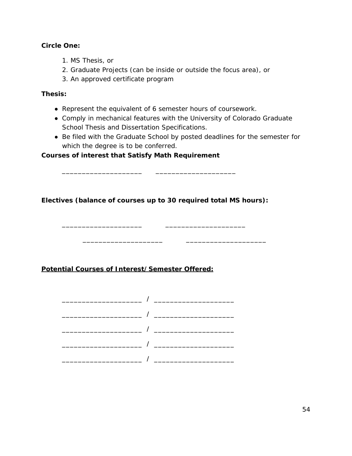#### **Circle One:**

- 1. MS Thesis, or
- 2. Graduate Projects (can be inside or outside the focus area), or
- 3. An approved certificate program

#### **Thesis:**

- Represent the equivalent of 6 semester hours of coursework.
- Comply in mechanical features with the University of Colorado Graduate School Thesis and Dissertation Specifications.
- Be filed with the Graduate School by posted deadlines for the semester for which the degree is to be conferred.

\_\_\_\_\_\_\_\_\_\_\_\_\_\_\_\_\_\_\_\_ \_\_\_\_\_\_\_\_\_\_\_\_\_\_\_\_\_\_\_\_

#### **Courses of interest that Satisfy Math Requirement**

**Electives (balance of courses up to 30 required total MS hours):**

\_\_\_\_\_\_\_\_\_\_\_\_\_\_\_\_\_\_\_\_ \_\_\_\_\_\_\_\_\_\_\_\_\_\_\_\_\_\_\_\_

**Potential Courses of Interest/Semester Offered:**

 $\frac{1}{\sqrt{2}}$  ,  $\frac{1}{\sqrt{2}}$  ,  $\frac{1}{\sqrt{2}}$  ,  $\frac{1}{\sqrt{2}}$  ,  $\frac{1}{\sqrt{2}}$  ,  $\frac{1}{\sqrt{2}}$  ,  $\frac{1}{\sqrt{2}}$  ,  $\frac{1}{\sqrt{2}}$  ,  $\frac{1}{\sqrt{2}}$  ,  $\frac{1}{\sqrt{2}}$  ,  $\frac{1}{\sqrt{2}}$  ,  $\frac{1}{\sqrt{2}}$  ,  $\frac{1}{\sqrt{2}}$  ,  $\frac{1}{\sqrt{2}}$  ,  $\frac{1}{\sqrt{2}}$ 

 $\overline{\phantom{a}}$  /  $\overline{\phantom{a}}$  /  $\overline{\phantom{a}}$  /  $\overline{\phantom{a}}$  $\overline{\phantom{a}}$  /  $\overline{\phantom{a}}$  /  $\overline{\phantom{a}}$  /  $\overline{\phantom{a}}$ \_\_\_\_\_\_\_\_\_\_\_\_\_\_\_\_\_\_\_\_ / \_\_\_\_\_\_\_\_\_\_\_\_\_\_\_\_\_\_\_\_ \_\_\_\_\_\_\_\_\_\_\_\_\_\_\_\_\_\_\_\_ / \_\_\_\_\_\_\_\_\_\_\_\_\_\_\_\_\_\_\_\_ \_\_\_\_\_\_\_\_\_\_\_\_\_\_\_\_\_\_\_\_ / \_\_\_\_\_\_\_\_\_\_\_\_\_\_\_\_\_\_\_\_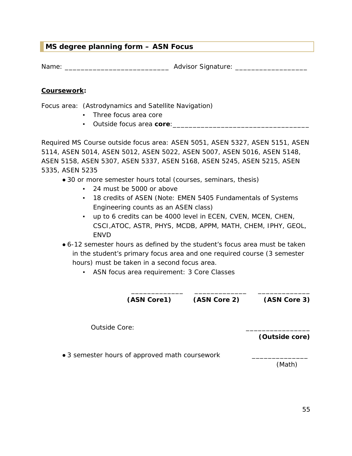#### <span id="page-54-0"></span>**MS degree planning form – ASN Focus**

Name: \_\_\_\_\_\_\_\_\_\_\_\_\_\_\_\_\_\_\_\_\_\_\_\_\_\_ Advisor Signature: \_\_\_\_\_\_\_\_\_\_\_\_\_\_\_\_\_\_

#### **Coursework:**

Focus area: (Astrodynamics and Satellite Navigation)

- Three focus area core
- Outside focus area **core**:\_\_\_\_\_\_\_\_\_\_\_\_\_\_\_\_\_\_\_\_\_\_\_\_\_\_\_\_\_\_\_\_\_\_

Required MS Course outside focus area: ASEN 5051, ASEN 5327, ASEN 5151, ASEN 5114, ASEN 5014, ASEN 5012, ASEN 5022, ASEN 5007, ASEN 5016, ASEN 5148, ASEN 5158, ASEN 5307, ASEN 5337, ASEN 5168, ASEN 5245, ASEN 5215, ASEN 5335, ASEN 5235

- 30 or more semester hours total (courses, seminars, thesis)
	- 24 must be 5000 or above
	- 18 credits of ASEN (Note: EMEN 5405 Fundamentals of Systems Engineering counts as an ASEN class)
	- up to 6 credits can be 4000 level in ECEN, CVEN, MCEN, CHEN, CSCI,ATOC, ASTR, PHYS, MCDB, APPM, MATH, CHEM, IPHY, GEOL, ENVD
- 6-12 semester hours as defined by the student's focus area must be taken in the student's primary focus area and one required course (3 semester hours) must be taken in a second focus area.
	- ASN focus area requirement: 3 Core Classes

\_\_\_\_\_\_\_\_\_\_\_\_\_ \_\_\_\_\_\_\_\_\_\_\_\_\_ \_\_\_\_\_\_\_\_\_\_\_\_\_ **(ASN Core1) (ASN Core 2) (ASN Core 3)** Outside Core: **(Outside core)** • 3 semester hours of approved math coursework

(Math)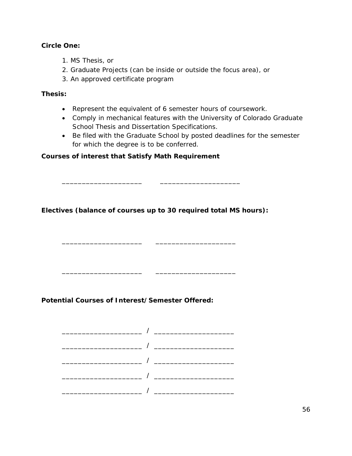#### **Circle One:**

- 1. MS Thesis, or
- 2. Graduate Projects (can be inside or outside the focus area), or
- 3. An approved certificate program

#### **Thesis:**

- Represent the equivalent of 6 semester hours of coursework.
- Comply in mechanical features with the University of Colorado Graduate School Thesis and Dissertation Specifications.
- Be filed with the Graduate School by posted deadlines for the semester for which the degree is to be conferred.

#### **Courses of interest that Satisfy Math Requirement**

**Electives (balance of courses up to 30 required total MS hours):**

\_\_\_\_\_\_\_\_\_\_\_\_\_\_\_\_\_\_\_\_ \_\_\_\_\_\_\_\_\_\_\_\_\_\_\_\_\_\_\_\_

 $\overline{\phantom{a}}$  , and the set of  $\overline{\phantom{a}}$ 

\_\_\_\_\_\_\_\_\_\_\_\_\_\_\_\_\_\_\_\_ \_\_\_\_\_\_\_\_\_\_\_\_\_\_\_\_\_\_\_\_

**Potential Courses of Interest/Semester Offered:**

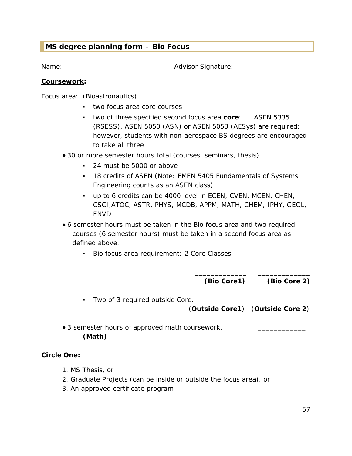#### <span id="page-56-0"></span>**MS degree planning form – Bio Focus**

Name: \_\_\_\_\_\_\_\_\_\_\_\_\_\_\_\_\_\_\_\_\_\_\_\_\_ Advisor Signature: \_\_\_\_\_\_\_\_\_\_\_\_\_\_\_\_\_\_

#### **Coursework:**

Focus area: (Bioastronautics)

- two focus area core courses
- two of three specified second focus area **core**: ASEN 5335 (RSESS), ASEN 5050 (ASN) or ASEN 5053 (AESys) are required; however, students with non-aerospace BS degrees are encouraged to take all three
- 30 or more semester hours total (courses, seminars, thesis)
	- 24 must be 5000 or above
	- 18 credits of ASEN (Note: EMEN 5405 Fundamentals of Systems Engineering counts as an ASEN class)
	- up to 6 credits can be 4000 level in ECEN, CVEN, MCEN, CHEN, CSCI,ATOC, ASTR, PHYS, MCDB, APPM, MATH, CHEM, IPHY, GEOL, **FNVD**
- 6 semester hours must be taken in the Bio focus area and two required courses (6 semester hours) must be taken in a second focus area as defined above.
	- Bio focus area requirement: 2 Core Classes

\_\_\_\_\_\_\_\_\_\_\_\_\_ \_\_\_\_\_\_\_\_\_\_\_\_\_ **(Bio Core1) (Bio Core 2)** 

▪ Two of 3 required outside Core: \_\_\_\_\_\_\_\_\_\_\_\_\_ \_\_\_\_\_\_\_\_\_\_\_\_\_ (**Outside Core1**) (**Outside Core 2**)

• 3 semester hours of approved math coursework. **(Math)**

#### **Circle One:**

- 1. MS Thesis, or
- 2. Graduate Projects (can be inside or outside the focus area), or
- 3. An approved certificate program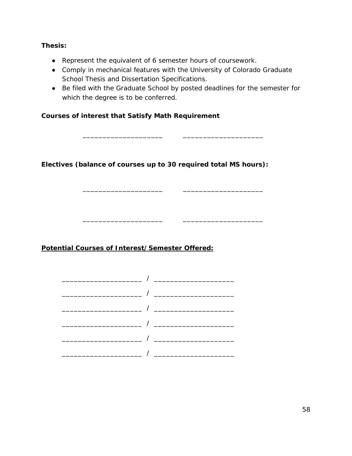#### **Thesis:**

- Represent the equivalent of 6 semester hours of coursework.
- Comply in mechanical features with the University of Colorado Graduate School Thesis and Dissertation Specifications.
- Be filed with the Graduate School by posted deadlines for the semester for which the degree is to be conferred.

\_\_\_\_\_\_\_\_\_\_\_\_\_\_\_\_\_\_\_\_ \_\_\_\_\_\_\_\_\_\_\_\_\_\_\_\_\_\_\_\_

\_\_\_\_\_\_\_\_\_\_\_\_\_\_\_\_\_\_\_\_ \_\_\_\_\_\_\_\_\_\_\_\_\_\_\_\_\_\_\_\_

\_\_\_\_\_\_\_\_\_\_\_\_\_\_\_\_\_\_\_\_ \_\_\_\_\_\_\_\_\_\_\_\_\_\_\_\_\_\_\_\_

#### **Courses of interest that Satisfy Math Requirement**

**Electives (balance of courses up to 30 required total MS hours):**

#### **Potential Courses of Interest/Semester Offered:**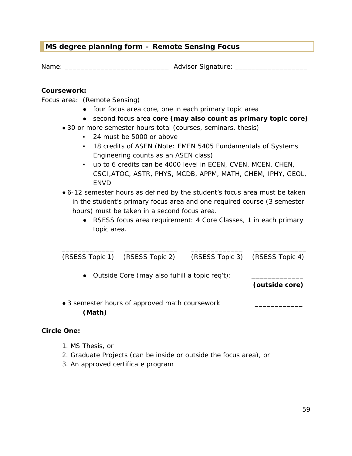#### <span id="page-58-0"></span>**MS degree planning form – Remote Sensing Focus**

Name: \_\_\_\_\_\_\_\_\_\_\_\_\_\_\_\_\_\_\_\_\_\_\_\_\_\_ Advisor Signature: \_\_\_\_\_\_\_\_\_\_\_\_\_\_\_\_\_\_

#### **Coursework:**

Focus area: (Remote Sensing)

- four focus area core, one in each primary topic area
- second focus area **core (may also count as primary topic core)**
- 30 or more semester hours total (courses, seminars, thesis)
	- 24 must be 5000 or above
	- 18 credits of ASEN (Note: EMEN 5405 Fundamentals of Systems Engineering counts as an ASEN class)
	- up to 6 credits can be 4000 level in ECEN, CVEN, MCEN, CHEN, CSCI,ATOC, ASTR, PHYS, MCDB, APPM, MATH, CHEM, IPHY, GEOL, ENVD
- 6-12 semester hours as defined by the student's focus area must be taken in the student's primary focus area and one required course (3 semester hours) must be taken in a second focus area.
	- RSESS focus area requirement: 4 Core Classes, 1 in each primary topic area.

|                                                          | (RSESS Topic 1) (RSESS Topic 2)                  | (RSESS Topic 3) (RSESS Topic 4) |                |
|----------------------------------------------------------|--------------------------------------------------|---------------------------------|----------------|
|                                                          | • Outside Core (may also fulfill a topic req't): |                                 | (outside core) |
| • 3 semester hours of approved math coursework<br>(Math) |                                                  |                                 |                |
| <b>Circle One:</b>                                       |                                                  |                                 |                |

## 1. MS Thesis, or

- 2. Graduate Projects (can be inside or outside the focus area), or
- 3. An approved certificate program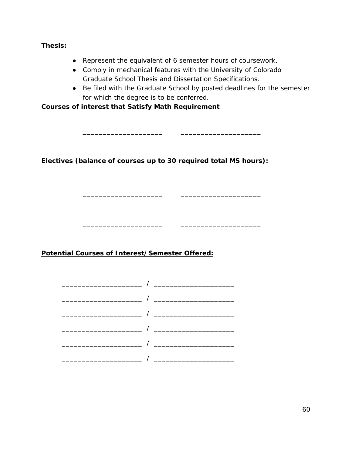**Thesis:**

- Represent the equivalent of 6 semester hours of coursework.
- Comply in mechanical features with the University of Colorado Graduate School Thesis and Dissertation Specifications.

\_\_\_\_\_\_\_\_\_\_\_\_\_\_\_\_\_\_\_\_ \_\_\_\_\_\_\_\_\_\_\_\_\_\_\_\_\_\_\_\_

\_\_\_\_\_\_\_\_\_\_\_\_\_\_\_\_\_\_\_\_ \_\_\_\_\_\_\_\_\_\_\_\_\_\_\_\_\_\_\_\_

\_\_\_\_\_\_\_\_\_\_\_\_\_\_\_\_\_\_\_\_ \_\_\_\_\_\_\_\_\_\_\_\_\_\_\_\_\_\_\_\_

● Be filed with the Graduate School by posted deadlines for the semester for which the degree is to be conferred.

**Courses of interest that Satisfy Math Requirement** 

**Electives (balance of courses up to 30 required total MS hours):**

**Potential Courses of Interest/Semester Offered:**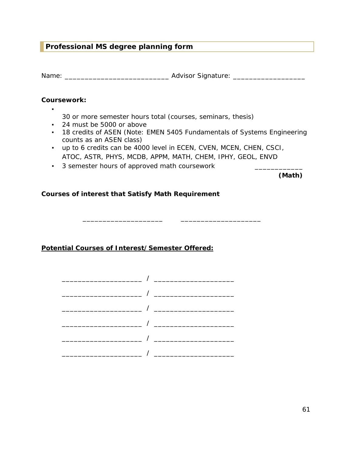#### <span id="page-60-0"></span>**Professional MS degree planning form**

Name: \_\_\_\_\_\_\_\_\_\_\_\_\_\_\_\_\_\_\_\_\_\_\_\_\_\_ Advisor Signature: \_\_\_\_\_\_\_\_\_\_\_\_\_\_\_\_\_\_

#### **Coursework:**

▪

- 30 or more semester hours total (courses, seminars, thesis)
- 24 must be 5000 or above
- 18 credits of ASEN (Note: EMEN 5405 Fundamentals of Systems Engineering counts as an ASEN class)
- up to 6 credits can be 4000 level in ECEN, CVEN, MCEN, CHEN, CSCI, ATOC, ASTR, PHYS, MCDB, APPM, MATH, CHEM, IPHY, GEOL, ENVD

\_\_\_\_\_\_\_\_\_\_\_\_\_\_\_\_\_\_\_\_ \_\_\_\_\_\_\_\_\_\_\_\_\_\_\_\_\_\_\_\_

▪ 3 semester hours of approved math coursework \_\_\_\_\_\_\_\_\_\_\_\_

**(Math)**

#### **Courses of interest that Satisfy Math Requirement**

**Potential Courses of Interest/Semester Offered:**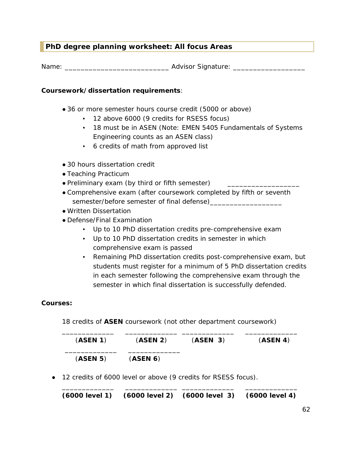#### <span id="page-61-0"></span>**PhD degree planning worksheet: All focus Areas**

Name: \_\_\_\_\_\_\_\_\_\_\_\_\_\_\_\_\_\_\_\_\_\_\_\_\_\_ Advisor Signature: \_\_\_\_\_\_\_\_\_\_\_\_\_\_\_\_\_\_

#### **Coursework/dissertation requirements**:

- 36 or more semester hours course credit (5000 or above)
	- 12 above 6000 (9 credits for RSESS focus)
	- 18 must be in ASEN (Note: EMEN 5405 Fundamentals of Systems Engineering counts as an ASEN class)
	- 6 credits of math from approved list
- 30 hours dissertation credit
- Teaching Practicum
- Preliminary exam (by third or fifth semester)
- Comprehensive exam (after coursework completed by fifth or seventh semester/before semester of final defense)\_\_\_\_\_\_\_\_\_\_\_\_\_\_\_\_\_\_
- Written Dissertation
- Defense/Final Examination
	- Up to 10 PhD dissertation credits pre-comprehensive exam
	- Up to 10 PhD dissertation credits in semester in which comprehensive exam is passed
	- Remaining PhD dissertation credits post-comprehensive exam, but students must register for a minimum of 5 PhD dissertation credits in each semester following the comprehensive exam through the semester in which final dissertation is successfully defended.

#### **Courses:**

18 credits of **ASEN** coursework (not other department coursework)

| (ASEN 1) | (ASEN 2) | (ASEN 3) | (ASEN 4) |
|----------|----------|----------|----------|
| (ASEN 5) | (ASEN 6) |          |          |

● 12 credits of 6000 level or above (9 credits for RSESS focus).

\_\_\_\_\_\_\_\_\_\_\_\_\_ \_\_\_\_\_\_\_\_\_\_\_\_\_ \_\_\_\_\_\_\_\_\_\_\_\_\_ \_\_\_\_\_\_\_\_\_\_\_\_\_ **(6000 level 1) (6000 level 2) (6000 level 3) (6000 level 4)**